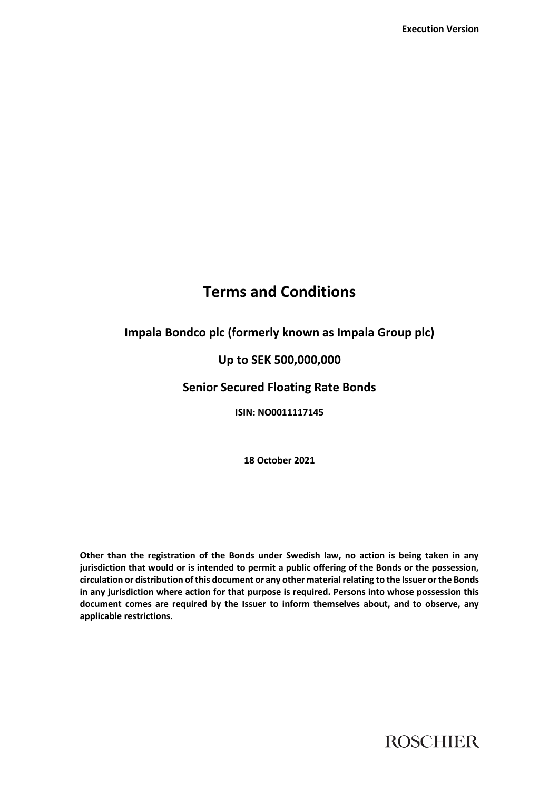# **Terms and Conditions**

## **Impala Bondco plc (formerly known as Impala Group plc)**

## **Up to SEK 500,000,000**

## **Senior Secured Floating Rate Bonds**

**ISIN: NO0011117145**

**18 October 2021**

**Other than the registration of the Bonds under Swedish law, no action is being taken in any jurisdiction that would or is intended to permit a public offering of the Bonds or the possession, circulation or distribution of this document or any other material relating to the Issuer or the Bonds in any jurisdiction where action for that purpose is required. Persons into whose possession this document comes are required by the Issuer to inform themselves about, and to observe, any applicable restrictions.**

**ROSCHIER**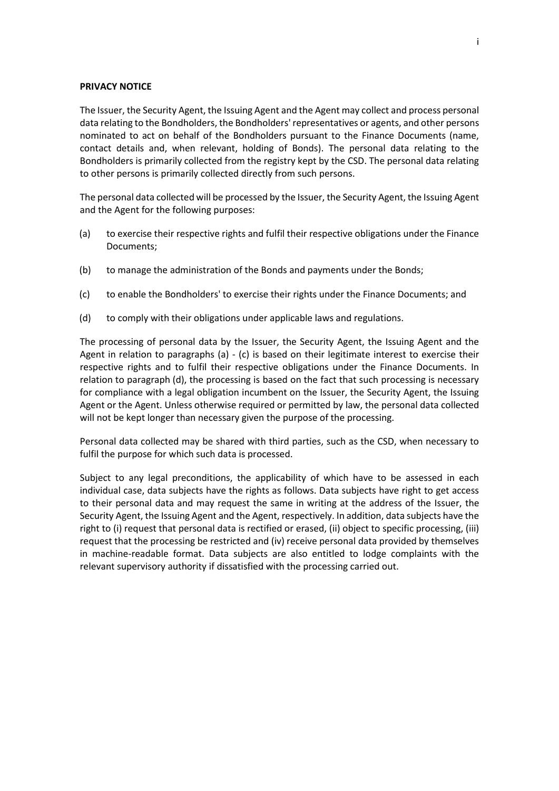#### **PRIVACY NOTICE**

The Issuer, the Security Agent, the Issuing Agent and the Agent may collect and process personal data relating to the Bondholders, the Bondholders' representatives or agents, and other persons nominated to act on behalf of the Bondholders pursuant to the Finance Documents (name, contact details and, when relevant, holding of Bonds). The personal data relating to the Bondholders is primarily collected from the registry kept by the CSD. The personal data relating to other persons is primarily collected directly from such persons.

The personal data collected will be processed by the Issuer, the Security Agent, the Issuing Agent and the Agent for the following purposes:

- <span id="page-1-0"></span>(a) to exercise their respective rights and fulfil their respective obligations under the Finance Documents;
- (b) to manage the administration of the Bonds and payments under the Bonds;
- <span id="page-1-1"></span>(c) to enable the Bondholders' to exercise their rights under the Finance Documents; and
- <span id="page-1-2"></span>(d) to comply with their obligations under applicable laws and regulations.

The processing of personal data by the Issuer, the Security Agent, the Issuing Agent and the Agent in relation to paragraphs [\(a\)](#page-1-0)  $-$  [\(c\)](#page-1-1) is based on their legitimate interest to exercise their respective rights and to fulfil their respective obligations under the Finance Documents. In relation to paragraph [\(d\),](#page-1-2) the processing is based on the fact that such processing is necessary for compliance with a legal obligation incumbent on the Issuer, the Security Agent, the Issuing Agent or the Agent. Unless otherwise required or permitted by law, the personal data collected will not be kept longer than necessary given the purpose of the processing.

Personal data collected may be shared with third parties, such as the CSD, when necessary to fulfil the purpose for which such data is processed.

Subject to any legal preconditions, the applicability of which have to be assessed in each individual case, data subjects have the rights as follows. Data subjects have right to get access to their personal data and may request the same in writing at the address of the Issuer, the Security Agent, the Issuing Agent and the Agent, respectively. In addition, data subjects have the right to (i) request that personal data is rectified or erased, (ii) object to specific processing, (iii) request that the processing be restricted and (iv) receive personal data provided by themselves in machine-readable format. Data subjects are also entitled to lodge complaints with the relevant supervisory authority if dissatisfied with the processing carried out.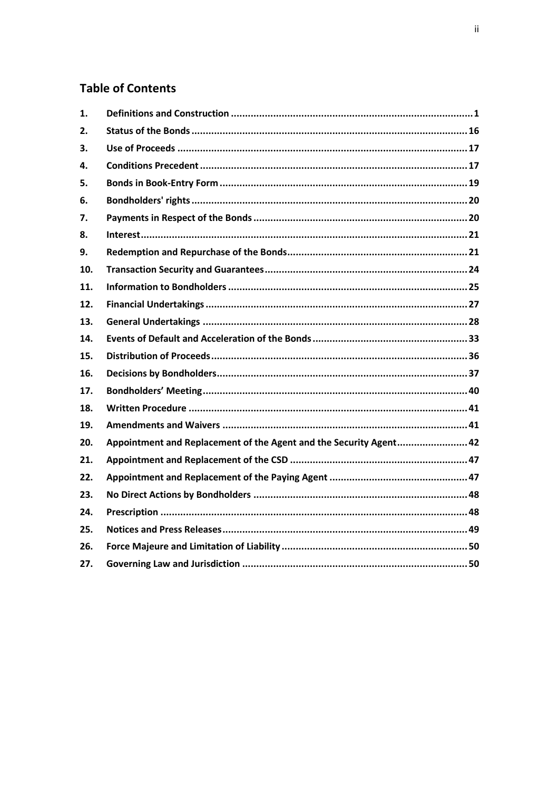# **Table of Contents**

| 1.  |                                                                    |
|-----|--------------------------------------------------------------------|
| 2.  |                                                                    |
| 3.  |                                                                    |
| 4.  |                                                                    |
| 5.  |                                                                    |
| 6.  |                                                                    |
| 7.  |                                                                    |
| 8.  |                                                                    |
| 9.  |                                                                    |
| 10. |                                                                    |
| 11. |                                                                    |
| 12. |                                                                    |
| 13. |                                                                    |
| 14. |                                                                    |
| 15. |                                                                    |
| 16. |                                                                    |
| 17. |                                                                    |
| 18. |                                                                    |
| 19. |                                                                    |
| 20. | Appointment and Replacement of the Agent and the Security Agent 42 |
| 21. |                                                                    |
| 22. |                                                                    |
| 23. |                                                                    |
| 24. |                                                                    |
| 25. |                                                                    |
| 26. |                                                                    |
| 27. |                                                                    |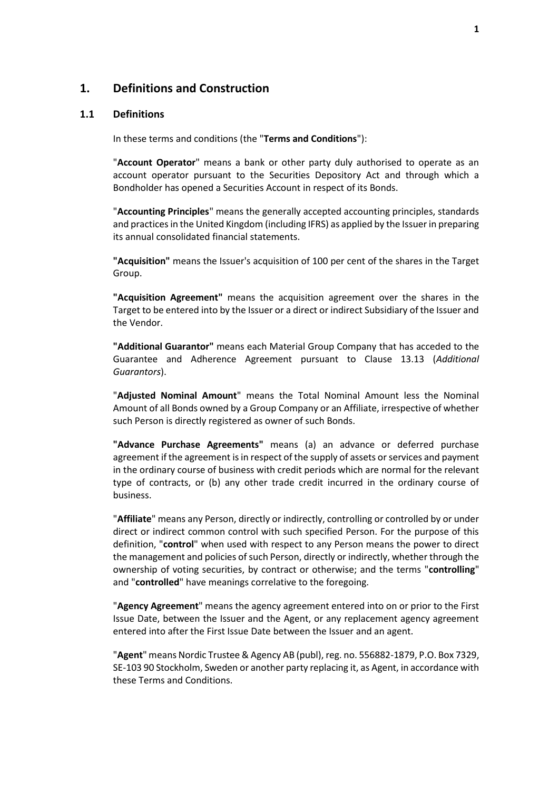## <span id="page-3-0"></span>**1. Definitions and Construction**

#### **1.1 Definitions**

In these terms and conditions (the "**Terms and Conditions**"):

"**Account Operator**" means a bank or other party duly authorised to operate as an account operator pursuant to the Securities Depository Act and through which a Bondholder has opened a Securities Account in respect of its Bonds.

"**Accounting Principles**" means the generally accepted accounting principles, standards and practices in the United Kingdom (including IFRS) as applied by the Issuer in preparing its annual consolidated financial statements.

**"Acquisition"** means the Issuer's acquisition of 100 per cent of the shares in the Target Group.

**"Acquisition Agreement"** means the acquisition agreement over the shares in the Target to be entered into by the Issuer or a direct or indirect Subsidiary of the Issuer and the Vendor.

**"Additional Guarantor"** means each Material Group Company that has acceded to the Guarantee and Adherence Agreement pursuant to Clause [13.13](#page-34-0) (*[Additional](#page-34-0)  [Guarantors](#page-34-0)*).

"**Adjusted Nominal Amount**" means the Total Nominal Amount less the Nominal Amount of all Bonds owned by a Group Company or an Affiliate, irrespective of whether such Person is directly registered as owner of such Bonds.

**"Advance Purchase Agreements"** means (a) an advance or deferred purchase agreement if the agreement is in respect of the supply of assets or services and payment in the ordinary course of business with credit periods which are normal for the relevant type of contracts, or (b) any other trade credit incurred in the ordinary course of business.

"**Affiliate**" means any Person, directly or indirectly, controlling or controlled by or under direct or indirect common control with such specified Person. For the purpose of this definition, "**control**" when used with respect to any Person means the power to direct the management and policies of such Person, directly or indirectly, whether through the ownership of voting securities, by contract or otherwise; and the terms "**controlling**" and "**controlled**" have meanings correlative to the foregoing.

"**Agency Agreement**" means the agency agreement entered into on or prior to the First Issue Date, between the Issuer and the Agent, or any replacement agency agreement entered into after the First Issue Date between the Issuer and an agent.

"**Agent**" means Nordic Trustee & Agency AB (publ), reg. no. 556882-1879, P.O. Box 7329, SE-103 90 Stockholm, Sweden or another party replacing it, as Agent, in accordance with these Terms and Conditions.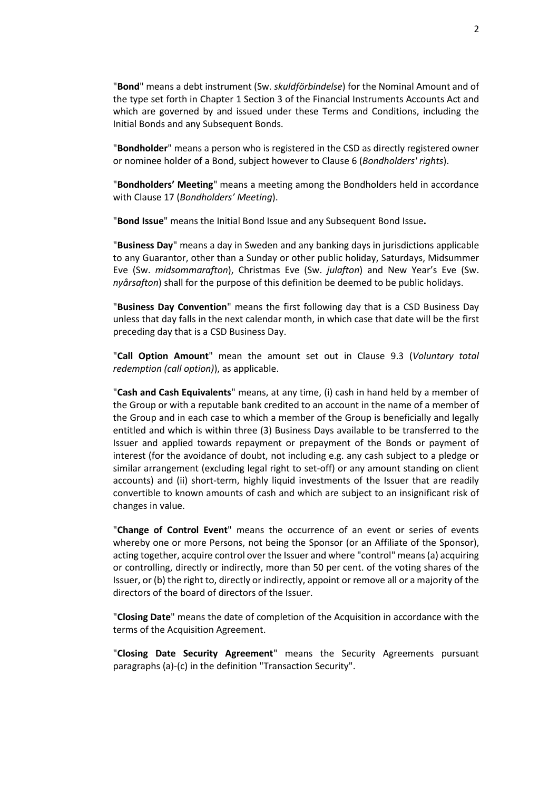"**Bond**" means a debt instrument (Sw. *skuldförbindelse*) for the Nominal Amount and of the type set forth in Chapter 1 Section 3 of the Financial Instruments Accounts Act and which are governed by and issued under these Terms and Conditions, including the Initial Bonds and any Subsequent Bonds.

"**Bondholder**" means a person who is registered in the CSD as directly registered owner or nominee holder of a Bond, subject however to Claus[e 6](#page-22-0) (*[Bondholders' rights](#page-22-0)*).

"**Bondholders' Meeting**" means a meeting among the Bondholders held in accordance with Clause [17](#page-42-0) (*[Bondholders' Meeting](#page-42-0)*).

"**Bond Issue**" means the Initial Bond Issue and any Subsequent Bond Issue**.**

"**Business Day**" means a day in Sweden and any banking days in jurisdictions applicable to any Guarantor, other than a Sunday or other public holiday, Saturdays, Midsummer Eve (Sw. *midsommarafton*), Christmas Eve (Sw. *julafton*) and New Year's Eve (Sw. *nyårsafton*) shall for the purpose of this definition be deemed to be public holidays.

"**Business Day Convention**" means the first following day that is a CSD Business Day unless that day falls in the next calendar month, in which case that date will be the first preceding day that is a CSD Business Day.

"**Call Option Amount**" mean the amount set out in Clause [9.3](#page-24-0) (*[Voluntary total](#page-24-0)  [redemption \(call option\)](#page-24-0)*), as applicable.

"**Cash and Cash Equivalents**" means, at any time, (i) cash in hand held by a member of the Group or with a reputable bank credited to an account in the name of a member of the Group and in each case to which a member of the Group is beneficially and legally entitled and which is within three (3) Business Days available to be transferred to the Issuer and applied towards repayment or prepayment of the Bonds or payment of interest (for the avoidance of doubt, not including e.g. any cash subject to a pledge or similar arrangement (excluding legal right to set-off) or any amount standing on client accounts) and (ii) short-term, highly liquid investments of the Issuer that are readily convertible to known amounts of cash and which are subject to an insignificant risk of changes in value.

"**Change of Control Event**" means the occurrence of an event or series of events whereby one or more Persons, not being the Sponsor (or an Affiliate of the Sponsor), acting together, acquire control over the Issuer and where "control" means (a) acquiring or controlling, directly or indirectly, more than 50 per cent. of the voting shares of the Issuer, or (b) the right to, directly or indirectly, appoint or remove all or a majority of the directors of the board of directors of the Issuer.

"**Closing Date**" means the date of completion of the Acquisition in accordance with the terms of the Acquisition Agreement.

"**Closing Date Security Agreement**" means the Security Agreements pursuant paragraphs [\(a\)](#page-17-0)[-\(c\)](#page-17-1) in the definition "Transaction Security".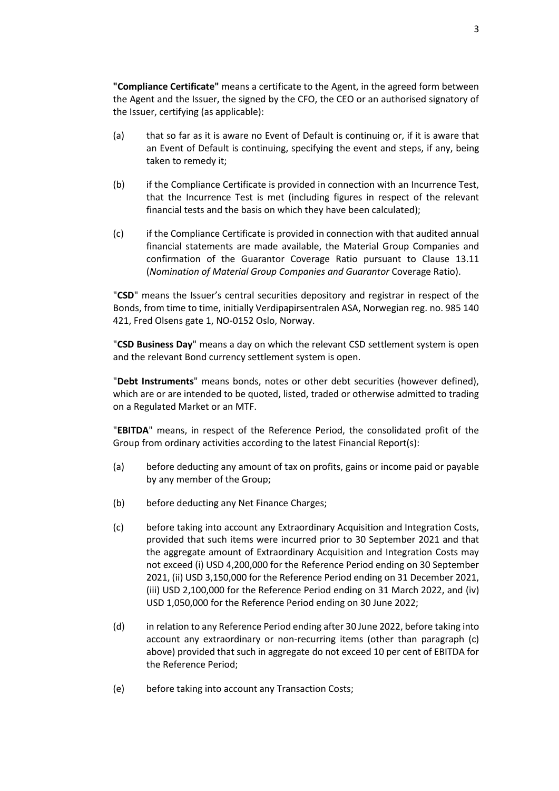**"Compliance Certificate"** means a certificate to the Agent, in the agreed form between the Agent and the Issuer, the signed by the CFO, the CEO or an authorised signatory of the Issuer, certifying (as applicable):

- (a) that so far as it is aware no Event of Default is continuing or, if it is aware that an Event of Default is continuing, specifying the event and steps, if any, being taken to remedy it;
- (b) if the Compliance Certificate is provided in connection with an Incurrence Test, that the Incurrence Test is met (including figures in respect of the relevant financial tests and the basis on which they have been calculated);
- (c) if the Compliance Certificate is provided in connection with that audited annual financial statements are made available, the Material Group Companies and confirmation of the Guarantor Coverage Ratio pursuant to Clause [13.11](#page-33-0) (*Nomination [of Material Group Companies](#page-33-0) and Guarantor* Coverage Ratio).

"**CSD**" means the Issuer's central securities depository and registrar in respect of the Bonds, from time to time, initially Verdipapirsentralen ASA, Norwegian reg. no. 985 140 421, Fred Olsens gate 1, NO-0152 Oslo, Norway.

"**CSD Business Day**" means a day on which the relevant CSD settlement system is open and the relevant Bond currency settlement system is open.

"**Debt Instruments**" means bonds, notes or other debt securities (however defined), which are or are intended to be quoted, listed, traded or otherwise admitted to trading on a Regulated Market or an MTF.

"**EBITDA**" means, in respect of the Reference Period, the consolidated profit of the Group from ordinary activities according to the latest Financial Report(s):

- (a) before deducting any amount of tax on profits, gains or income paid or payable by any member of the Group;
- (b) before deducting any Net Finance Charges;
- (c) before taking into account any Extraordinary Acquisition and Integration Costs, provided that such items were incurred prior to 30 September 2021 and that the aggregate amount of Extraordinary Acquisition and Integration Costs may not exceed (i) USD 4,200,000 for the Reference Period ending on 30 September 2021, (ii) USD 3,150,000 for the Reference Period ending on 31 December 2021, (iii) USD 2,100,000 for the Reference Period ending on 31 March 2022, and (iv) USD 1,050,000 for the Reference Period ending on 30 June 2022;
- (d) in relation to any Reference Period ending after 30 June 2022, before taking into account any extraordinary or non-recurring items (other than paragraph (c) above) provided that such in aggregate do not exceed 10 per cent of EBITDA for the Reference Period;
- (e) before taking into account any Transaction Costs;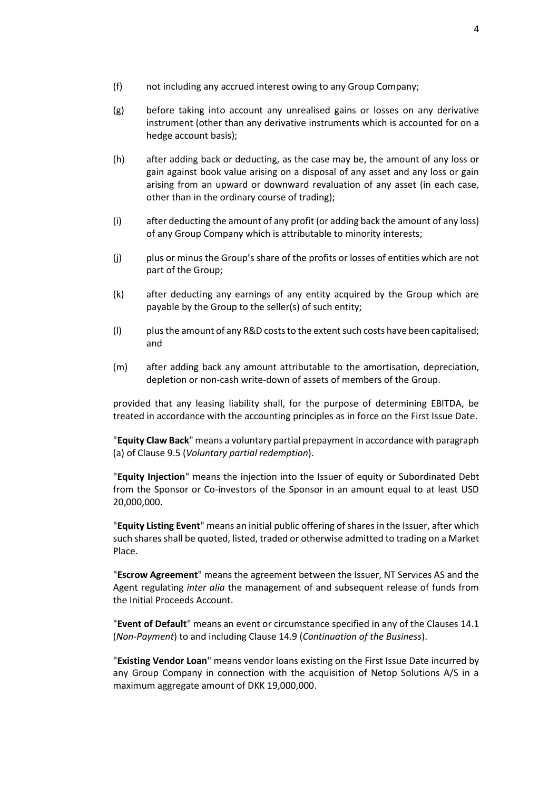- (f) not including any accrued interest owing to any Group Company;
- (g) before taking into account any unrealised gains or losses on any derivative instrument (other than any derivative instruments which is accounted for on a hedge account basis);
- (h) after adding back or deducting, as the case may be, the amount of any loss or gain against book value arising on a disposal of any asset and any loss or gain arising from an upward or downward revaluation of any asset (in each case, other than in the ordinary course of trading);
- (i) after deducting the amount of any profit (or adding back the amount of any loss) of any Group Company which is attributable to minority interests;
- (j) plus or minus the Group's share of the profits or losses of entities which are not part of the Group;
- (k) after deducting any earnings of any entity acquired by the Group which are payable by the Group to the seller(s) of such entity;
- (l) plus the amount of any R&D costs to the extent such costs have been capitalised; and
- (m) after adding back any amount attributable to the amortisation, depreciation, depletion or non-cash write-down of assets of members of the Group.

provided that any leasing liability shall, for the purpose of determining EBITDA, be treated in accordance with the accounting principles as in force on the First Issue Date.

"**Equity Claw Back**" means a voluntary partial prepayment in accordance with paragraph [\(a\)](#page-25-0) of Clause [9.5](#page-25-1) (*[Voluntary partial redemption](#page-25-1)*).

"**Equity Injection**" means the injection into the Issuer of equity or Subordinated Debt from the Sponsor or Co-investors of the Sponsor in an amount equal to at least USD 20,000,000.

"**Equity Listing Event**" means an initial public offering of shares in the Issuer, after which such shares shall be quoted, listed, traded or otherwise admitted to trading on a Market Place.

"**Escrow Agreement**" means the agreement between the Issuer, NT Services AS and the Agent regulating *inter alia* the management of and subsequent release of funds from the Initial Proceeds Account.

"**Event of Default**" means an event or circumstance specified in any of the Clauses [14.1](#page-35-1) (*[Non-Payment](#page-35-1)*) to and including Clause [14.9](#page-37-0) (*[Continuation of the Business](#page-37-0)*).

"**Existing Vendor Loan**" means vendor loans existing on the First Issue Date incurred by any Group Company in connection with the acquisition of Netop Solutions A/S in a maximum aggregate amount of DKK 19,000,000.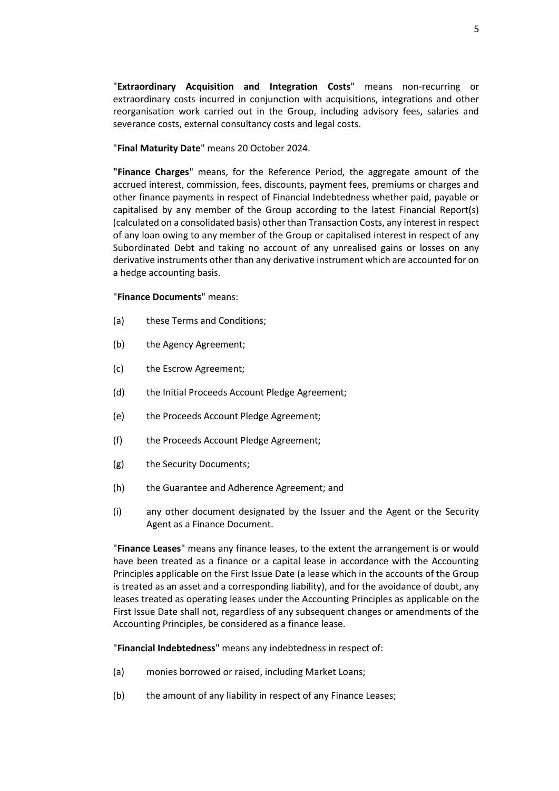"**Extraordinary Acquisition and Integration Costs**" means non-recurring or extraordinary costs incurred in conjunction with acquisitions, integrations and other reorganisation work carried out in the Group, including advisory fees, salaries and severance costs, external consultancy costs and legal costs.

#### "**Final Maturity Date**" means 20 October 2024.

**"Finance Charges**" means, for the Reference Period, the aggregate amount of the accrued interest, commission, fees, discounts, payment fees, premiums or charges and other finance payments in respect of Financial Indebtedness whether paid, payable or capitalised by any member of the Group according to the latest Financial Report(s) (calculated on a consolidated basis) other than Transaction Costs, any interest in respect of any loan owing to any member of the Group or capitalised interest in respect of any Subordinated Debt and taking no account of any unrealised gains or losses on any derivative instruments other than any derivative instrument which are accounted for on a hedge accounting basis.

#### "**Finance Documents**" means:

- (a) these Terms and Conditions;
- (b) the Agency Agreement;
- (c) the Escrow Agreement;
- (d) the Initial Proceeds Account Pledge Agreement;
- (e) the Proceeds Account Pledge Agreement;
- (f) the Proceeds Account Pledge Agreement;
- (g) the Security Documents;
- (h) the Guarantee and Adherence Agreement; and
- (i) any other document designated by the Issuer and the Agent or the Security Agent as a Finance Document.

"**Finance Leases**" means any finance leases, to the extent the arrangement is or would have been treated as a finance or a capital lease in accordance with the Accounting Principles applicable on the First Issue Date (a lease which in the accounts of the Group is treated as an asset and a corresponding liability), and for the avoidance of doubt, any leases treated as operating leases under the Accounting Principles as applicable on the First Issue Date shall not, regardless of any subsequent changes or amendments of the Accounting Principles, be considered as a finance lease.

"**Financial Indebtedness**" means any indebtedness in respect of:

- <span id="page-7-0"></span>(a) monies borrowed or raised, including Market Loans;
- (b) the amount of any liability in respect of any Finance Leases;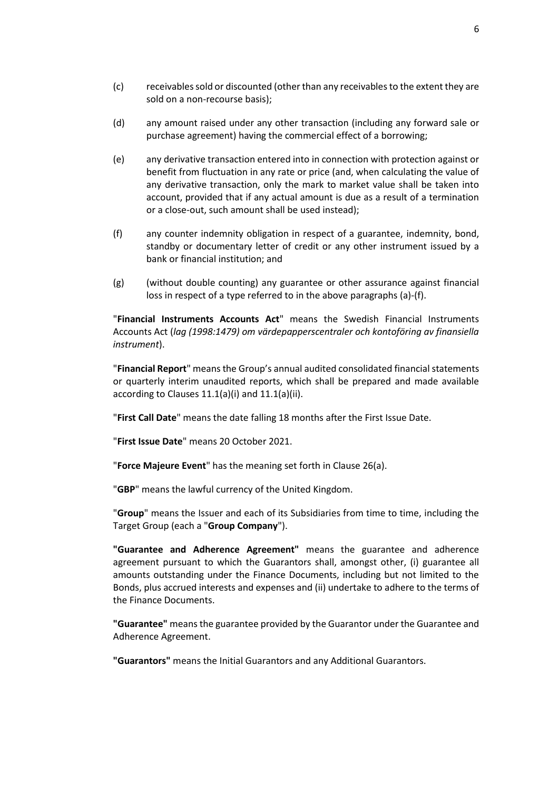- (c) receivables sold or discounted (other than any receivables to the extent they are sold on a non-recourse basis);
- (d) any amount raised under any other transaction (including any forward sale or purchase agreement) having the commercial effect of a borrowing;
- (e) any derivative transaction entered into in connection with protection against or benefit from fluctuation in any rate or price (and, when calculating the value of any derivative transaction, only the mark to market value shall be taken into account, provided that if any actual amount is due as a result of a termination or a close-out, such amount shall be used instead);
- <span id="page-8-0"></span>(f) any counter indemnity obligation in respect of a guarantee, indemnity, bond, standby or documentary letter of credit or any other instrument issued by a bank or financial institution; and
- (g) (without double counting) any guarantee or other assurance against financial loss in respect of a type referred to in the above paragraphs [\(a\)](#page-7-0)[-\(f\).](#page-8-0)

"**Financial Instruments Accounts Act**" means the Swedish Financial Instruments Accounts Act (*lag (1998:1479) om värdepapperscentraler och kontoföring av finansiella instrument*).

"**Financial Report**" means the Group's annual audited consolidated financial statements or quarterly interim unaudited reports, which shall be prepared and made available according to Clause[s 11.1\(a\)\(i\)](#page-27-1) and [11.1\(a\)\(ii\).](#page-27-2)

"**First Call Date**" means the date falling 18 months after the First Issue Date.

"**First Issue Date**" means 20 October 2021.

"**Force Majeure Event**" has the meaning set forth in Clause [26\(a\).](#page-52-2)

"**GBP**" means the lawful currency of the United Kingdom.

"**Group**" means the Issuer and each of its Subsidiaries from time to time, including the Target Group (each a "**Group Company**").

**"Guarantee and Adherence Agreement"** means the guarantee and adherence agreement pursuant to which the Guarantors shall, amongst other, (i) guarantee all amounts outstanding under the Finance Documents, including but not limited to the Bonds, plus accrued interests and expenses and (ii) undertake to adhere to the terms of the Finance Documents.

**"Guarantee"** means the guarantee provided by the Guarantor under the Guarantee and Adherence Agreement.

**"Guarantors"** means the Initial Guarantors and any Additional Guarantors.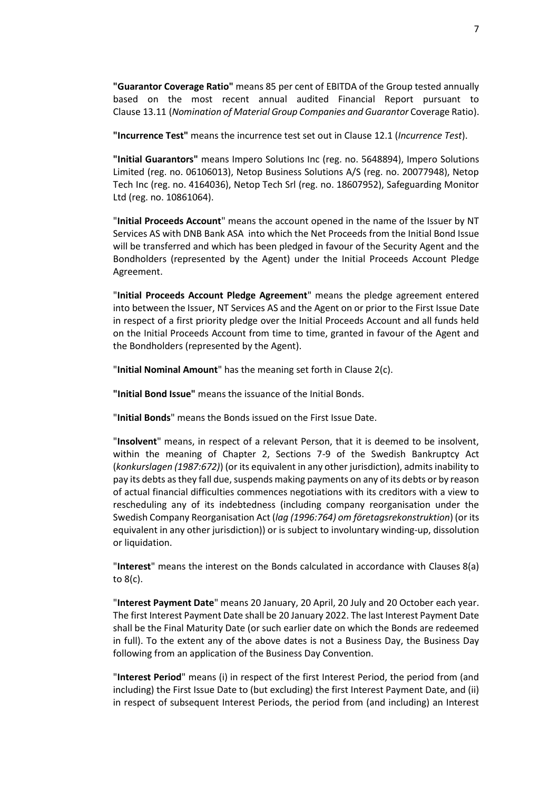**"Guarantor Coverage Ratio"** means 85 per cent of EBITDA of the Group tested annually based on the most recent annual audited Financial Report pursuant to Clause [13.11](#page-33-0) (*Nomination [of Material Group Companies](#page-33-0) and Guarantor* Coverage Ratio).

**"Incurrence Test"** means the incurrence test set out in Claus[e 12.1](#page-29-1) (*[Incurrence Test](#page-29-1)*).

**"Initial Guarantors"** means Impero Solutions Inc (reg. no. 5648894), Impero Solutions Limited (reg. no. 06106013), Netop Business Solutions A/S (reg. no. 20077948), Netop Tech Inc (reg. no. 4164036), Netop Tech Srl (reg. no. 18607952), Safeguarding Monitor Ltd (reg. no. 10861064).

"**Initial Proceeds Account**" means the account opened in the name of the Issuer by NT Services AS with DNB Bank ASA into which the Net Proceeds from the Initial Bond Issue will be transferred and which has been pledged in favour of the Security Agent and the Bondholders (represented by the Agent) under the Initial Proceeds Account Pledge Agreement.

"**Initial Proceeds Account Pledge Agreement**" means the pledge agreement entered into between the Issuer, NT Services AS and the Agent on or prior to the First Issue Date in respect of a first priority pledge over the Initial Proceeds Account and all funds held on the Initial Proceeds Account from time to time, granted in favour of the Agent and the Bondholders (represented by the Agent).

"**Initial Nominal Amount**" has the meaning set forth in Clause [2\(c\).](#page-18-1)

**"Initial Bond Issue"** means the issuance of the Initial Bonds.

"**Initial Bonds**" means the Bonds issued on the First Issue Date.

"**Insolvent**" means, in respect of a relevant Person, that it is deemed to be insolvent, within the meaning of Chapter 2, Sections 7-9 of the Swedish Bankruptcy Act (*konkurslagen (1987:672)*) (or its equivalent in any other jurisdiction), admits inability to pay its debts asthey fall due, suspends making payments on any of its debts or by reason of actual financial difficulties commences negotiations with its creditors with a view to rescheduling any of its indebtedness (including company reorganisation under the Swedish Company Reorganisation Act (*lag (1996:764) om företagsrekonstruktion*) (or its equivalent in any other jurisdiction)) or is subject to involuntary winding-up, dissolution or liquidation.

"**Interest**" means the interest on the Bonds calculated in accordance with Clauses [8\(a\)](#page-23-2) t[o 8\(c\).](#page-23-3)

"**Interest Payment Date**" means 20 January, 20 April, 20 July and 20 October each year. The first Interest Payment Date shall be 20 January 2022. The last Interest Payment Date shall be the Final Maturity Date (or such earlier date on which the Bonds are redeemed in full). To the extent any of the above dates is not a Business Day, the Business Day following from an application of the Business Day Convention.

"**Interest Period**" means (i) in respect of the first Interest Period, the period from (and including) the First Issue Date to (but excluding) the first Interest Payment Date, and (ii) in respect of subsequent Interest Periods, the period from (and including) an Interest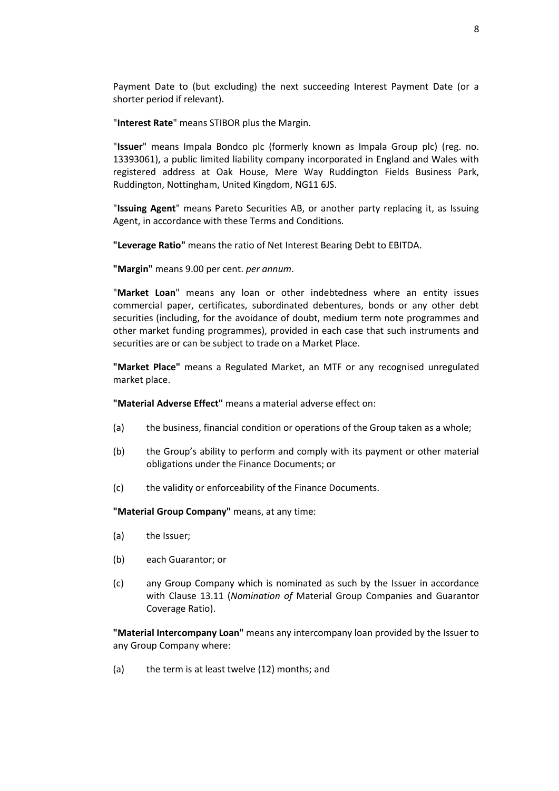Payment Date to (but excluding) the next succeeding Interest Payment Date (or a shorter period if relevant).

"**Interest Rate**" means STIBOR plus the Margin.

"**Issuer**" means Impala Bondco plc (formerly known as Impala Group plc) (reg. no. 13393061), a public limited liability company incorporated in England and Wales with registered address at Oak House, Mere Way Ruddington Fields Business Park, Ruddington, Nottingham, United Kingdom, NG11 6JS.

"**Issuing Agent**" means Pareto Securities AB, or another party replacing it, as Issuing Agent, in accordance with these Terms and Conditions.

**"Leverage Ratio"** means the ratio of Net Interest Bearing Debt to EBITDA.

**"Margin"** means 9.00 per cent. *per annum*.

"**Market Loan**" means any loan or other indebtedness where an entity issues commercial paper, certificates, subordinated debentures, bonds or any other debt securities (including, for the avoidance of doubt, medium term note programmes and other market funding programmes), provided in each case that such instruments and securities are or can be subject to trade on a Market Place.

**"Market Place"** means a Regulated Market, an MTF or any recognised unregulated market place.

**"Material Adverse Effect"** means a material adverse effect on:

- (a) the business, financial condition or operations of the Group taken as a whole;
- (b) the Group's ability to perform and comply with its payment or other material obligations under the Finance Documents; or
- (c) the validity or enforceability of the Finance Documents.

**"Material Group Company"** means, at any time:

- (a) the Issuer;
- (b) each Guarantor; or
- (c) any Group Company which is nominated as such by the Issuer in accordance with Clause [13.11](#page-33-0) (*Nomination of* [Material Group Companies](#page-33-0) and Guarantor [Coverage Ratio\)](#page-33-0).

**"Material Intercompany Loan"** means any intercompany loan provided by the Issuer to any Group Company where:

(a) the term is at least twelve (12) months; and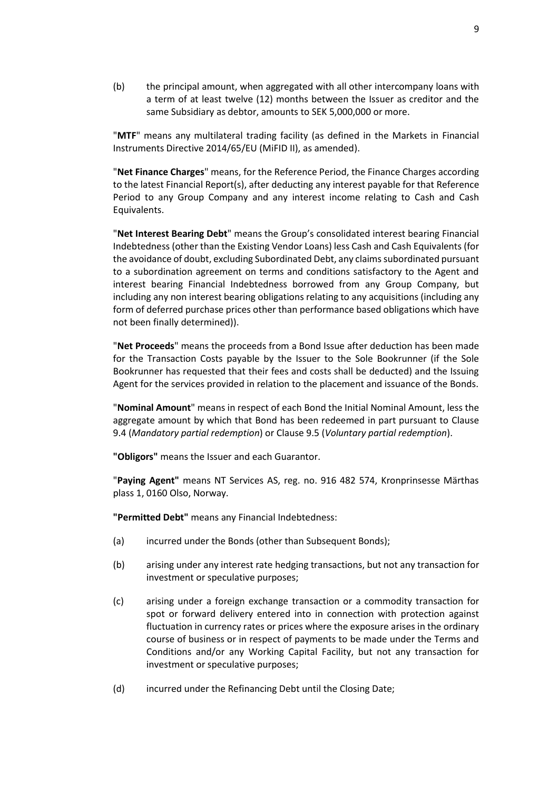(b) the principal amount, when aggregated with all other intercompany loans with a term of at least twelve (12) months between the Issuer as creditor and the same Subsidiary as debtor, amounts to SEK 5,000,000 or more.

"**MTF**" means any multilateral trading facility (as defined in the Markets in Financial Instruments Directive 2014/65/EU (MiFID II), as amended).

"**Net Finance Charges**" means, for the Reference Period, the Finance Charges according to the latest Financial Report(s), after deducting any interest payable for that Reference Period to any Group Company and any interest income relating to Cash and Cash Equivalents.

"**Net Interest Bearing Debt**" means the Group's consolidated interest bearing Financial Indebtedness (other than the Existing Vendor Loans) less Cash and Cash Equivalents (for the avoidance of doubt, excluding Subordinated Debt, any claims subordinated pursuant to a subordination agreement on terms and conditions satisfactory to the Agent and interest bearing Financial Indebtedness borrowed from any Group Company, but including any non interest bearing obligations relating to any acquisitions (including any form of deferred purchase prices other than performance based obligations which have not been finally determined)).

"**Net Proceeds**" means the proceeds from a Bond Issue after deduction has been made for the Transaction Costs payable by the Issuer to the Sole Bookrunner (if the Sole Bookrunner has requested that their fees and costs shall be deducted) and the Issuing Agent for the services provided in relation to the placement and issuance of the Bonds.

"**Nominal Amount**" means in respect of each Bond the Initial Nominal Amount, less the aggregate amount by which that Bond has been redeemed in part pursuant to Clause [9.4](#page-25-2) (*[Mandatory partial redemption](#page-25-2)*) or Clause [9.5](#page-25-1) (*[Voluntary partial redemption](#page-25-1)*).

**"Obligors"** means the Issuer and each Guarantor.

"**Paying Agent"** means NT Services AS, reg. no. 916 482 574, Kronprinsesse Märthas plass 1, 0160 Olso, Norway.

**"Permitted Debt"** means any Financial Indebtedness:

- <span id="page-11-0"></span>(a) incurred under the Bonds (other than Subsequent Bonds);
- <span id="page-11-1"></span>(b) arising under any interest rate hedging transactions, but not any transaction for investment or speculative purposes;
- <span id="page-11-2"></span>(c) arising under a foreign exchange transaction or a commodity transaction for spot or forward delivery entered into in connection with protection against fluctuation in currency rates or prices where the exposure arises in the ordinary course of business or in respect of payments to be made under the Terms and Conditions and/or any Working Capital Facility, but not any transaction for investment or speculative purposes;
- (d) incurred under the Refinancing Debt until the Closing Date;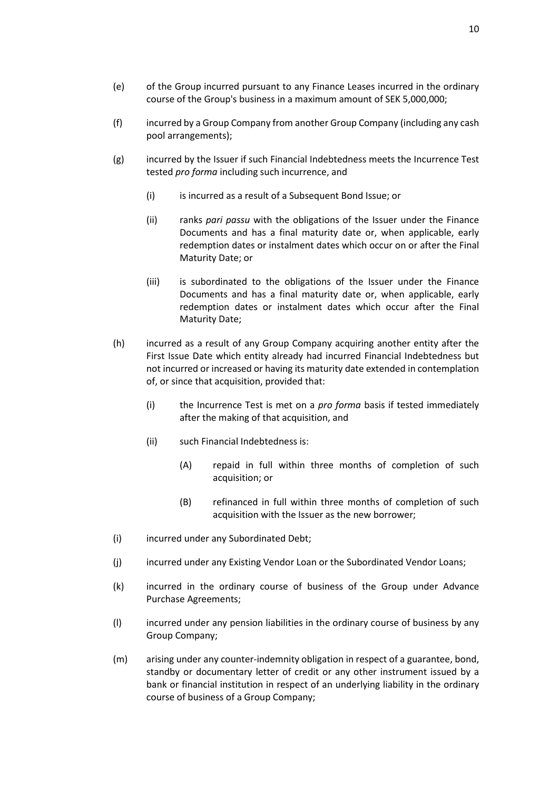(f) incurred by a Group Company from another Group Company (including any cash pool arrangements);

course of the Group's business in a maximum amount of SEK 5,000,000;

- (g) incurred by the Issuer if such Financial Indebtedness meets the Incurrence Test tested *pro forma* including such incurrence, and
	- (i) is incurred as a result of a Subsequent Bond Issue; or
	- (ii) ranks *pari passu* with the obligations of the Issuer under the Finance Documents and has a final maturity date or, when applicable, early redemption dates or instalment dates which occur on or after the Final Maturity Date; or
	- (iii) is subordinated to the obligations of the Issuer under the Finance Documents and has a final maturity date or, when applicable, early redemption dates or instalment dates which occur after the Final Maturity Date;
- <span id="page-12-1"></span>(h) incurred as a result of any Group Company acquiring another entity after the First Issue Date which entity already had incurred Financial Indebtedness but not incurred or increased or having its maturity date extended in contemplation of, or since that acquisition, provided that:
	- (i) the Incurrence Test is met on a *pro forma* basis if tested immediately after the making of that acquisition, and
	- (ii) such Financial Indebtedness is:
		- (A) repaid in full within three months of completion of such acquisition; or
		- (B) refinanced in full within three months of completion of such acquisition with the Issuer as the new borrower;
- (i) incurred under any Subordinated Debt;
- (j) incurred under any Existing Vendor Loan or the Subordinated Vendor Loans;
- (k) incurred in the ordinary course of business of the Group under Advance Purchase Agreements;
- (l) incurred under any pension liabilities in the ordinary course of business by any Group Company;
- <span id="page-12-0"></span>(m) arising under any counter-indemnity obligation in respect of a guarantee, bond, standby or documentary letter of credit or any other instrument issued by a bank or financial institution in respect of an underlying liability in the ordinary course of business of a Group Company;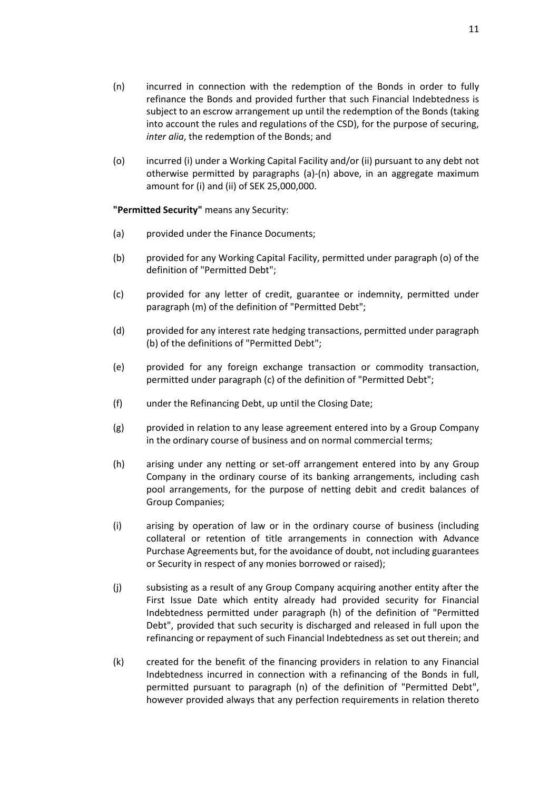- <span id="page-13-0"></span>(n) incurred in connection with the redemption of the Bonds in order to fully refinance the Bonds and provided further that such Financial Indebtedness is subject to an escrow arrangement up until the redemption of the Bonds (taking into account the rules and regulations of the CSD), for the purpose of securing, *inter alia*, the redemption of the Bonds; and
- (o) incurred (i) under a Working Capital Facility and/or (ii) pursuant to any debt not otherwise permitted by paragraphs [\(a\)](#page-11-0)[-\(n\)](#page-13-0) above, in an aggregate maximum amount for (i) and (ii) of SEK 25,000,000.

**"Permitted Security"** means any Security:

- (a) provided under the Finance Documents;
- (b) provided for any Working Capital Facility, permitted under paragraph (o) of the definition of "Permitted Debt";
- (c) provided for any letter of credit, guarantee or indemnity, permitted under paragrap[h \(m\)](#page-12-0) of the definition of "Permitted Debt";
- (d) provided for any interest rate hedging transactions, permitted under paragraph [\(b\)](#page-11-1) of the definitions of "Permitted Debt";
- (e) provided for any foreign exchange transaction or commodity transaction, permitted under paragraph [\(c\)](#page-11-2) of the definition of "Permitted Debt";
- (f) under the Refinancing Debt, up until the Closing Date;
- (g) provided in relation to any lease agreement entered into by a Group Company in the ordinary course of business and on normal commercial terms;
- (h) arising under any netting or set-off arrangement entered into by any Group Company in the ordinary course of its banking arrangements, including cash pool arrangements, for the purpose of netting debit and credit balances of Group Companies;
- (i) arising by operation of law or in the ordinary course of business (including collateral or retention of title arrangements in connection with Advance Purchase Agreements but, for the avoidance of doubt, not including guarantees or Security in respect of any monies borrowed or raised);
- (j) subsisting as a result of any Group Company acquiring another entity after the First Issue Date which entity already had provided security for Financial Indebtedness permitted under paragraph [\(h\)](#page-12-1) of the definition of "Permitted Debt", provided that such security is discharged and released in full upon the refinancing or repayment of such Financial Indebtedness as set out therein; and
- (k) created for the benefit of the financing providers in relation to any Financial Indebtedness incurred in connection with a refinancing of the Bonds in full, permitted pursuant to paragraph [\(n\)](#page-13-0) of the definition of "Permitted Debt", however provided always that any perfection requirements in relation thereto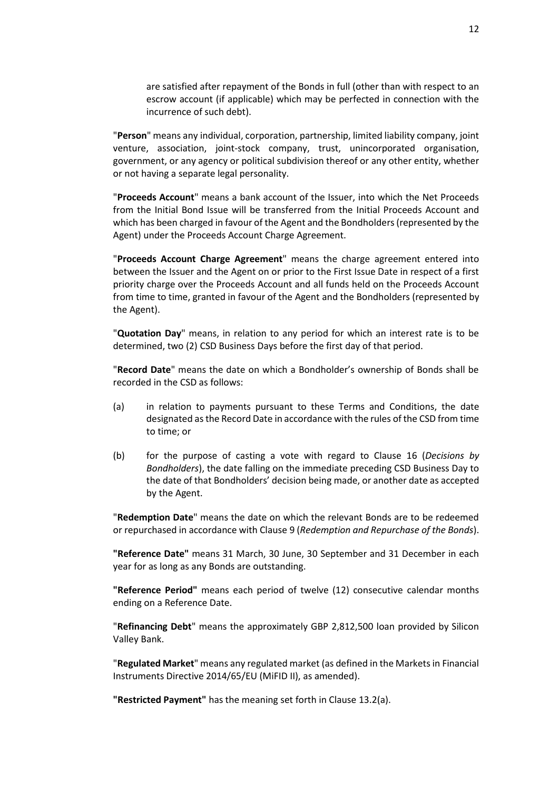are satisfied after repayment of the Bonds in full (other than with respect to an escrow account (if applicable) which may be perfected in connection with the incurrence of such debt).

"**Person**" means any individual, corporation, partnership, limited liability company, joint venture, association, joint-stock company, trust, unincorporated organisation, government, or any agency or political subdivision thereof or any other entity, whether or not having a separate legal personality.

"**Proceeds Account**" means a bank account of the Issuer, into which the Net Proceeds from the Initial Bond Issue will be transferred from the Initial Proceeds Account and which has been charged in favour of the Agent and the Bondholders (represented by the Agent) under the Proceeds Account Charge Agreement.

"**Proceeds Account Charge Agreement**" means the charge agreement entered into between the Issuer and the Agent on or prior to the First Issue Date in respect of a first priority charge over the Proceeds Account and all funds held on the Proceeds Account from time to time, granted in favour of the Agent and the Bondholders (represented by the Agent).

"**Quotation Day**" means, in relation to any period for which an interest rate is to be determined, two (2) CSD Business Days before the first day of that period.

"**Record Date**" means the date on which a Bondholder's ownership of Bonds shall be recorded in the CSD as follows:

- (a) in relation to payments pursuant to these Terms and Conditions, the date designated as the Record Date in accordance with the rules of the CSD from time to time; or
- (b) for the purpose of casting a vote with regard to Clause [16](#page-39-0) (*[Decisions by](#page-39-0)  [Bondholders](#page-39-0)*), the date falling on the immediate preceding CSD Business Day to the date of that Bondholders' decision being made, or another date as accepted by the Agent.

"**Redemption Date**" means the date on which the relevant Bonds are to be redeemed or repurchased in accordance with Clause [9](#page-23-1) (*[Redemption and Repurchase of the Bonds](#page-23-1)*).

**"Reference Date"** means 31 March, 30 June, 30 September and 31 December in each year for as long as any Bonds are outstanding.

**"Reference Period"** means each period of twelve (12) consecutive calendar months ending on a Reference Date.

"**Refinancing Debt**" means the approximately GBP 2,812,500 loan provided by Silicon Valley Bank.

"**Regulated Market**" means any regulated market (as defined in the Markets in Financial Instruments Directive 2014/65/EU (MiFID II), as amended).

**"Restricted Payment"** has the meaning set forth in Clause [13.2\(a\).](#page-30-1)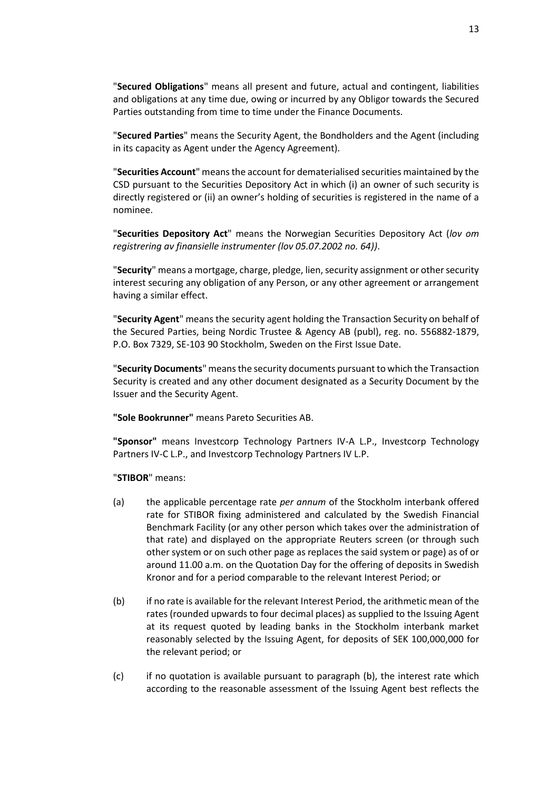"**Secured Obligations**" means all present and future, actual and contingent, liabilities and obligations at any time due, owing or incurred by any Obligor towards the Secured Parties outstanding from time to time under the Finance Documents.

"**Secured Parties**" means the Security Agent, the Bondholders and the Agent (including in its capacity as Agent under the Agency Agreement).

"**Securities Account**" means the account for dematerialised securities maintained by the CSD pursuant to the Securities Depository Act in which (i) an owner of such security is directly registered or (ii) an owner's holding of securities is registered in the name of a nominee.

"**Securities Depository Act**" means the Norwegian Securities Depository Act (*lov om registrering av finansielle instrumenter (lov 05.07.2002 no. 64))*.

"**Security**" means a mortgage, charge, pledge, lien, security assignment or other security interest securing any obligation of any Person, or any other agreement or arrangement having a similar effect.

"**Security Agent**" means the security agent holding the Transaction Security on behalf of the Secured Parties, being Nordic Trustee & Agency AB (publ), reg. no. 556882-1879, P.O. Box 7329, SE-103 90 Stockholm, Sweden on the First Issue Date.

"**Security Documents**" means the security documents pursuant to which the Transaction Security is created and any other document designated as a Security Document by the Issuer and the Security Agent.

**"Sole Bookrunner"** means Pareto Securities AB.

**"Sponsor"** means Investcorp Technology Partners IV-A L.P., Investcorp Technology Partners IV-C L.P., and Investcorp Technology Partners IV L.P.

#### "**STIBOR**" means:

- (a) the applicable percentage rate *per annum* of the Stockholm interbank offered rate for STIBOR fixing administered and calculated by the Swedish Financial Benchmark Facility (or any other person which takes over the administration of that rate) and displayed on the appropriate Reuters screen (or through such other system or on such other page as replaces the said system or page) as of or around 11.00 a.m. on the Quotation Day for the offering of deposits in Swedish Kronor and for a period comparable to the relevant Interest Period; or
- (b) if no rate is available for the relevant Interest Period, the arithmetic mean of the rates (rounded upwards to four decimal places) as supplied to the Issuing Agent at its request quoted by leading banks in the Stockholm interbank market reasonably selected by the Issuing Agent, for deposits of SEK 100,000,000 for the relevant period; or
- (c) if no quotation is available pursuant to paragraph (b), the interest rate which according to the reasonable assessment of the Issuing Agent best reflects the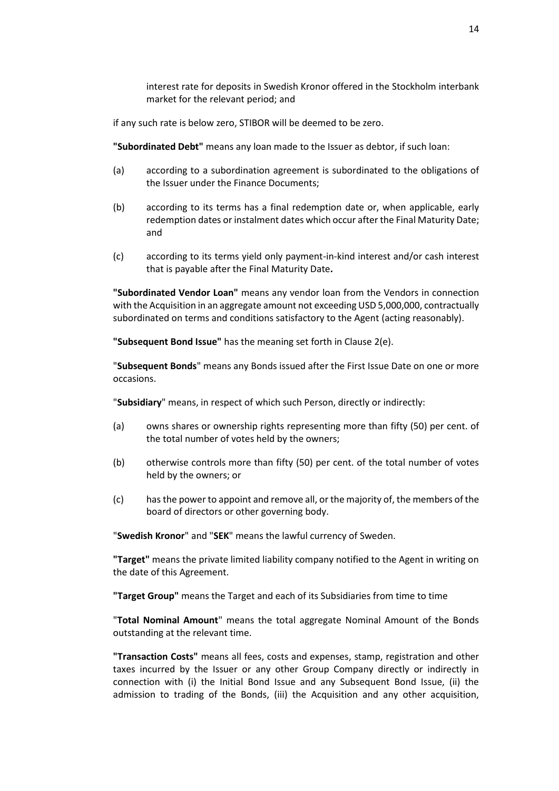interest rate for deposits in Swedish Kronor offered in the Stockholm interbank market for the relevant period; and

if any such rate is below zero, STIBOR will be deemed to be zero.

**"Subordinated Debt"** means any loan made to the Issuer as debtor, if such loan:

- (a) according to a subordination agreement is subordinated to the obligations of the Issuer under the Finance Documents;
- (b) according to its terms has a final redemption date or, when applicable, early redemption dates or instalment dates which occur after the Final Maturity Date; and
- (c) according to its terms yield only payment-in-kind interest and/or cash interest that is payable after the Final Maturity Date**.**

**"Subordinated Vendor Loan"** means any vendor loan from the Vendors in connection with the Acquisition in an aggregate amount not exceeding USD 5,000,000, contractually subordinated on terms and conditions satisfactory to the Agent (acting reasonably).

**"Subsequent Bond Issue"** has the meaning set forth in Claus[e 2\(e\).](#page-18-2)

"**Subsequent Bonds**" means any Bonds issued after the First Issue Date on one or more occasions.

"**Subsidiary**" means, in respect of which such Person, directly or indirectly:

- (a) owns shares or ownership rights representing more than fifty (50) per cent. of the total number of votes held by the owners;
- (b) otherwise controls more than fifty (50) per cent. of the total number of votes held by the owners; or
- (c) has the power to appoint and remove all, or the majority of, the members of the board of directors or other governing body.

"**Swedish Kronor**" and "**SEK**" means the lawful currency of Sweden.

**"Target"** means the private limited liability company notified to the Agent in writing on the date of this Agreement.

**"Target Group"** means the Target and each of its Subsidiaries from time to time

"**Total Nominal Amount**" means the total aggregate Nominal Amount of the Bonds outstanding at the relevant time.

**"Transaction Costs"** means all fees, costs and expenses, stamp, registration and other taxes incurred by the Issuer or any other Group Company directly or indirectly in connection with (i) the Initial Bond Issue and any Subsequent Bond Issue, (ii) the admission to trading of the Bonds, (iii) the Acquisition and any other acquisition,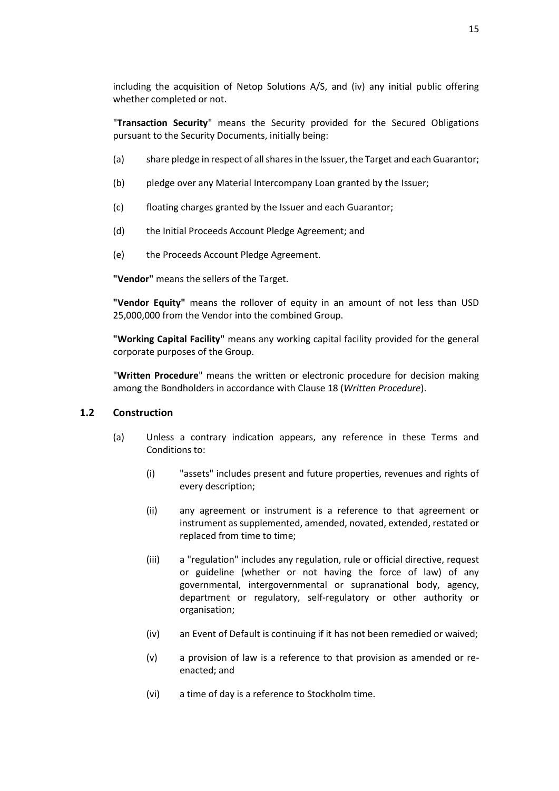including the acquisition of Netop Solutions A/S, and (iv) any initial public offering whether completed or not.

"**Transaction Security**" means the Security provided for the Secured Obligations pursuant to the Security Documents, initially being:

- <span id="page-17-0"></span>(a) share pledge in respect of all shares in the Issuer, the Target and each Guarantor;
- (b) pledge over any Material Intercompany Loan granted by the Issuer;
- <span id="page-17-1"></span>(c) floating charges granted by the Issuer and each Guarantor;
- (d) the Initial Proceeds Account Pledge Agreement; and
- (e) the Proceeds Account Pledge Agreement.

**"Vendor"** means the sellers of the Target.

**"Vendor Equity"** means the rollover of equity in an amount of not less than USD 25,000,000 from the Vendor into the combined Group.

**"Working Capital Facility"** means any working capital facility provided for the general corporate purposes of the Group.

"**Written Procedure**" means the written or electronic procedure for decision making among the Bondholders in accordance with Clause [18](#page-43-0) (*[Written Procedure](#page-43-0)*).

#### **1.2 Construction**

- (a) Unless a contrary indication appears, any reference in these Terms and Conditions to:
	- (i) "assets" includes present and future properties, revenues and rights of every description;
	- (ii) any agreement or instrument is a reference to that agreement or instrument as supplemented, amended, novated, extended, restated or replaced from time to time;
	- (iii) a "regulation" includes any regulation, rule or official directive, request or guideline (whether or not having the force of law) of any governmental, intergovernmental or supranational body, agency, department or regulatory, self-regulatory or other authority or organisation;
	- (iv) an Event of Default is continuing if it has not been remedied or waived;
	- (v) a provision of law is a reference to that provision as amended or reenacted; and
	- (vi) a time of day is a reference to Stockholm time.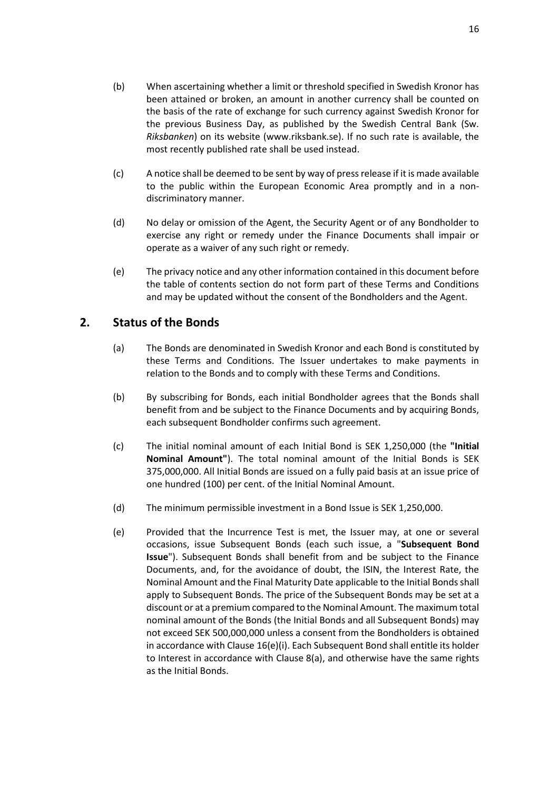- (b) When ascertaining whether a limit or threshold specified in Swedish Kronor has been attained or broken, an amount in another currency shall be counted on the basis of the rate of exchange for such currency against Swedish Kronor for the previous Business Day, as published by the Swedish Central Bank (Sw. *Riksbanken*) on its website (www.riksbank.se). If no such rate is available, the most recently published rate shall be used instead.
- (c) A notice shall be deemed to be sent by way of press release if it is made available to the public within the European Economic Area promptly and in a nondiscriminatory manner.
- (d) No delay or omission of the Agent, the Security Agent or of any Bondholder to exercise any right or remedy under the Finance Documents shall impair or operate as a waiver of any such right or remedy.
- (e) The privacy notice and any other information contained in this document before the table of contents section do not form part of these Terms and Conditions and may be updated without the consent of the Bondholders and the Agent.

## <span id="page-18-3"></span><span id="page-18-0"></span>**2. Status of the Bonds**

- (a) The Bonds are denominated in Swedish Kronor and each Bond is constituted by these Terms and Conditions. The Issuer undertakes to make payments in relation to the Bonds and to comply with these Terms and Conditions.
- (b) By subscribing for Bonds, each initial Bondholder agrees that the Bonds shall benefit from and be subject to the Finance Documents and by acquiring Bonds, each subsequent Bondholder confirms such agreement.
- <span id="page-18-1"></span>(c) The initial nominal amount of each Initial Bond is SEK 1,250,000 (the **"Initial Nominal Amount"**). The total nominal amount of the Initial Bonds is SEK 375,000,000. All Initial Bonds are issued on a fully paid basis at an issue price of one hundred (100) per cent. of the Initial Nominal Amount.
- (d) The minimum permissible investment in a Bond Issue is SEK 1,250,000.
- <span id="page-18-2"></span>(e) Provided that the Incurrence Test is met, the Issuer may, at one or several occasions, issue Subsequent Bonds (each such issue, a "**Subsequent Bond Issue**"). Subsequent Bonds shall benefit from and be subject to the Finance Documents, and, for the avoidance of doubt, the ISIN, the Interest Rate, the Nominal Amount and the Final Maturity Date applicable to the Initial Bonds shall apply to Subsequent Bonds. The price of the Subsequent Bonds may be set at a discount or at a premium compared to the Nominal Amount. The maximum total nominal amount of the Bonds (the Initial Bonds and all Subsequent Bonds) may not exceed SEK 500,000,000 unless a consent from the Bondholders is obtained in accordance with Clause [16\(e\)\(i\).](#page-40-0) Each Subsequent Bond shall entitle its holder to Interest in accordance with Clause [8\(a\),](#page-23-2) and otherwise have the same rights as the Initial Bonds.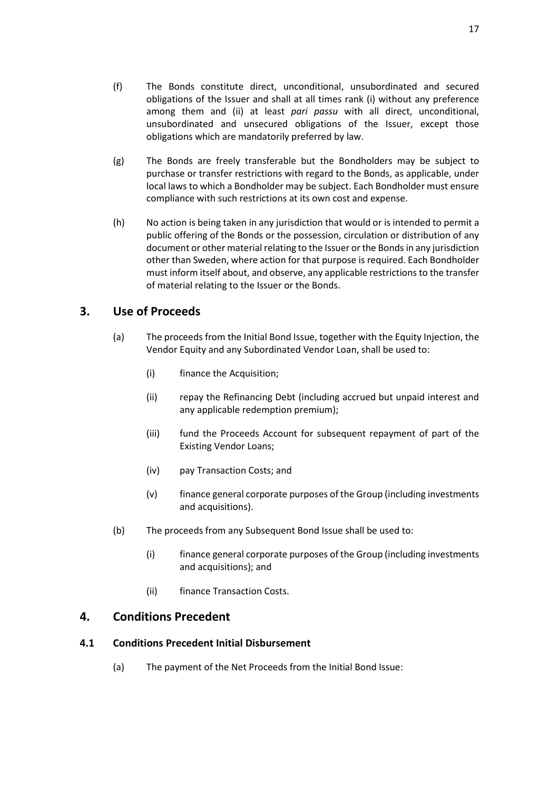- <span id="page-19-2"></span>(g) The Bonds are freely transferable but the Bondholders may be subject to purchase or transfer restrictions with regard to the Bonds, as applicable, under local laws to which a Bondholder may be subject. Each Bondholder must ensure compliance with such restrictions at its own cost and expense.
- <span id="page-19-3"></span>(h) No action is being taken in any jurisdiction that would or is intended to permit a public offering of the Bonds or the possession, circulation or distribution of any document or other material relating to the Issuer or the Bonds in any jurisdiction other than Sweden, where action for that purpose is required. Each Bondholder must inform itself about, and observe, any applicable restrictions to the transfer of material relating to the Issuer or the Bonds.

## <span id="page-19-0"></span>**3. Use of Proceeds**

- (a) The proceeds from the Initial Bond Issue, together with the Equity Injection, the Vendor Equity and any Subordinated Vendor Loan, shall be used to:
	- (i) finance the Acquisition;
	- (ii) repay the Refinancing Debt (including accrued but unpaid interest and any applicable redemption premium);
	- (iii) fund the Proceeds Account for subsequent repayment of part of the Existing Vendor Loans;
	- (iv) pay Transaction Costs; and
	- (v) finance general corporate purposes of the Group (including investments and acquisitions).
- (b) The proceeds from any Subsequent Bond Issue shall be used to:
	- (i) finance general corporate purposes of the Group (including investments and acquisitions); and
	- (ii) finance Transaction Costs.

## <span id="page-19-1"></span>**4. Conditions Precedent**

### **4.1 Conditions Precedent Initial Disbursement**

(a) The payment of the Net Proceeds from the Initial Bond Issue: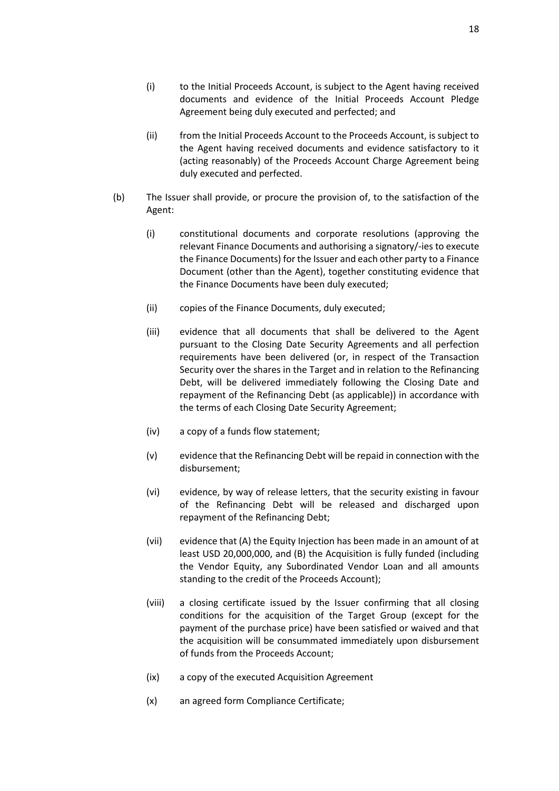- (i) to the Initial Proceeds Account, is subject to the Agent having received documents and evidence of the Initial Proceeds Account Pledge Agreement being duly executed and perfected; and
- (ii) from the Initial Proceeds Account to the Proceeds Account, is subject to the Agent having received documents and evidence satisfactory to it (acting reasonably) of the Proceeds Account Charge Agreement being duly executed and perfected.
- <span id="page-20-0"></span>(b) The Issuer shall provide, or procure the provision of, to the satisfaction of the Agent:
	- (i) constitutional documents and corporate resolutions (approving the relevant Finance Documents and authorising a signatory/-ies to execute the Finance Documents) for the Issuer and each other party to a Finance Document (other than the Agent), together constituting evidence that the Finance Documents have been duly executed;
	- (ii) copies of the Finance Documents, duly executed;
	- (iii) evidence that all documents that shall be delivered to the Agent pursuant to the Closing Date Security Agreements and all perfection requirements have been delivered (or, in respect of the Transaction Security over the shares in the Target and in relation to the Refinancing Debt, will be delivered immediately following the Closing Date and repayment of the Refinancing Debt (as applicable)) in accordance with the terms of each Closing Date Security Agreement;
	- (iv) a copy of a funds flow statement;
	- (v) evidence that the Refinancing Debt will be repaid in connection with the disbursement;
	- (vi) evidence, by way of release letters, that the security existing in favour of the Refinancing Debt will be released and discharged upon repayment of the Refinancing Debt;
	- (vii) evidence that (A) the Equity Injection has been made in an amount of at least USD 20,000,000, and (B) the Acquisition is fully funded (including the Vendor Equity, any Subordinated Vendor Loan and all amounts standing to the credit of the Proceeds Account);
	- (viii) a closing certificate issued by the Issuer confirming that all closing conditions for the acquisition of the Target Group (except for the payment of the purchase price) have been satisfied or waived and that the acquisition will be consummated immediately upon disbursement of funds from the Proceeds Account;
	- (ix) a copy of the executed Acquisition Agreement
	- (x) an agreed form Compliance Certificate;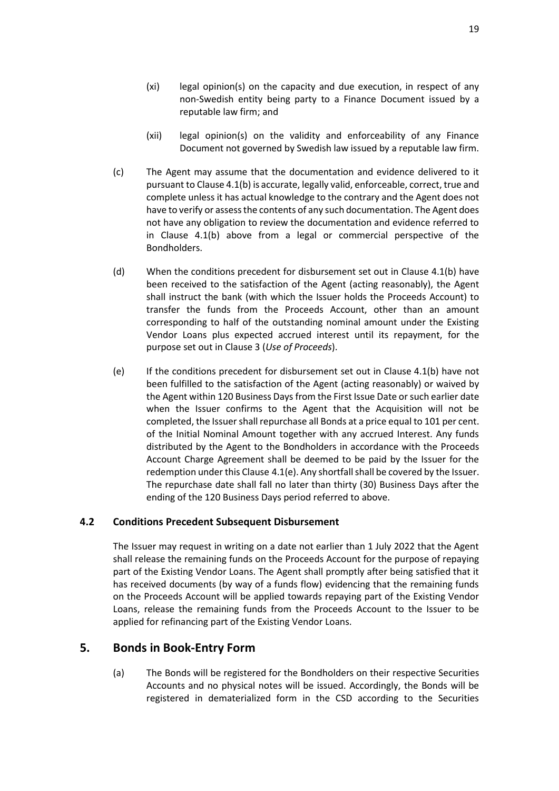- (xi) legal opinion(s) on the capacity and due execution, in respect of any non-Swedish entity being party to a Finance Document issued by a reputable law firm; and
- (xii) legal opinion(s) on the validity and enforceability of any Finance Document not governed by Swedish law issued by a reputable law firm.
- (c) The Agent may assume that the documentation and evidence delivered to it pursuant to Claus[e 4.1\(b\)](#page-20-0) is accurate, legally valid, enforceable, correct, true and complete unless it has actual knowledge to the contrary and the Agent does not have to verify or assess the contents of any such documentation. The Agent does not have any obligation to review the documentation and evidence referred to in Clause [4.1\(b\)](#page-20-0) above from a legal or commercial perspective of the Bondholders.
- (d) When the conditions precedent for disbursement set out in Clause [4.1\(b\)](#page-20-0) have been received to the satisfaction of the Agent (acting reasonably), the Agent shall instruct the bank (with which the Issuer holds the Proceeds Account) to transfer the funds from the Proceeds Account, other than an amount corresponding to half of the outstanding nominal amount under the Existing Vendor Loans plus expected accrued interest until its repayment, for the purpose set out in Clause [3](#page-19-0) (*[Use of Proceeds](#page-19-0)*).
- <span id="page-21-1"></span>(e) If the conditions precedent for disbursement set out in Clause [4.1\(b\)](#page-20-0) have not been fulfilled to the satisfaction of the Agent (acting reasonably) or waived by the Agent within 120 Business Days from the First Issue Date or such earlier date when the Issuer confirms to the Agent that the Acquisition will not be completed, the Issuer shall repurchase all Bonds at a price equal to 101 per cent. of the Initial Nominal Amount together with any accrued Interest. Any funds distributed by the Agent to the Bondholders in accordance with the Proceeds Account Charge Agreement shall be deemed to be paid by the Issuer for the redemption under this Clause [4.1\(e\).](#page-21-1) Any shortfall shall be covered by the Issuer. The repurchase date shall fall no later than thirty (30) Business Days after the ending of the 120 Business Days period referred to above.

### **4.2 Conditions Precedent Subsequent Disbursement**

The Issuer may request in writing on a date not earlier than 1 July 2022 that the Agent shall release the remaining funds on the Proceeds Account for the purpose of repaying part of the Existing Vendor Loans. The Agent shall promptly after being satisfied that it has received documents (by way of a funds flow) evidencing that the remaining funds on the Proceeds Account will be applied towards repaying part of the Existing Vendor Loans, release the remaining funds from the Proceeds Account to the Issuer to be applied for refinancing part of the Existing Vendor Loans.

## <span id="page-21-0"></span>**5. Bonds in Book-Entry Form**

(a) The Bonds will be registered for the Bondholders on their respective Securities Accounts and no physical notes will be issued. Accordingly, the Bonds will be registered in dematerialized form in the CSD according to the Securities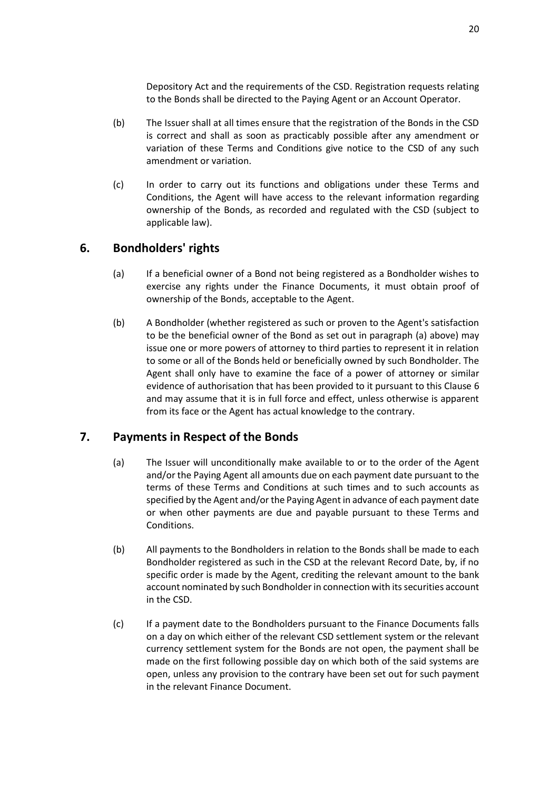Depository Act and the requirements of the CSD. Registration requests relating to the Bonds shall be directed to the Paying Agent or an Account Operator.

- (b) The Issuer shall at all times ensure that the registration of the Bonds in the CSD is correct and shall as soon as practicably possible after any amendment or variation of these Terms and Conditions give notice to the CSD of any such amendment or variation.
- (c) In order to carry out its functions and obligations under these Terms and Conditions, the Agent will have access to the relevant information regarding ownership of the Bonds, as recorded and regulated with the CSD (subject to applicable law).

## <span id="page-22-2"></span><span id="page-22-0"></span>**6. Bondholders' rights**

- (a) If a beneficial owner of a Bond not being registered as a Bondholder wishes to exercise any rights under the Finance Documents, it must obtain proof of ownership of the Bonds, acceptable to the Agent.
- (b) A Bondholder (whether registered as such or proven to the Agent's satisfaction to be the beneficial owner of the Bond as set out in paragraph [\(a\)](#page-22-2) above) may issue one or more powers of attorney to third parties to represent it in relation to some or all of the Bonds held or beneficially owned by such Bondholder. The Agent shall only have to examine the face of a power of attorney or similar evidence of authorisation that has been provided to it pursuant to this Claus[e 6](#page-22-0) and may assume that it is in full force and effect, unless otherwise is apparent from its face or the Agent has actual knowledge to the contrary.

## <span id="page-22-1"></span>**7. Payments in Respect of the Bonds**

- (a) The Issuer will unconditionally make available to or to the order of the Agent and/or the Paying Agent all amounts due on each payment date pursuant to the terms of these Terms and Conditions at such times and to such accounts as specified by the Agent and/or the Paying Agent in advance of each payment date or when other payments are due and payable pursuant to these Terms and Conditions.
- <span id="page-22-3"></span>(b) All payments to the Bondholders in relation to the Bonds shall be made to each Bondholder registered as such in the CSD at the relevant Record Date, by, if no specific order is made by the Agent, crediting the relevant amount to the bank account nominated by such Bondholder in connection with its securities account in the CSD.
- (c) If a payment date to the Bondholders pursuant to the Finance Documents falls on a day on which either of the relevant CSD settlement system or the relevant currency settlement system for the Bonds are not open, the payment shall be made on the first following possible day on which both of the said systems are open, unless any provision to the contrary have been set out for such payment in the relevant Finance Document.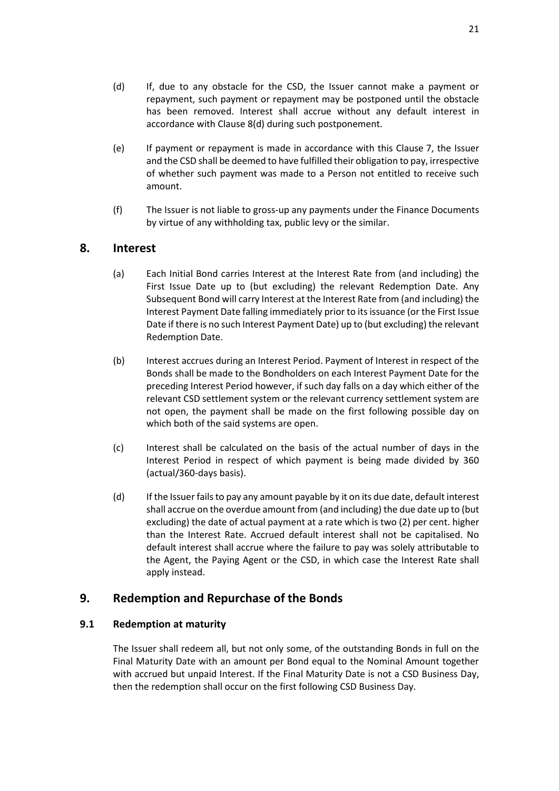- (d) If, due to any obstacle for the CSD, the Issuer cannot make a payment or repayment, such payment or repayment may be postponed until the obstacle has been removed. Interest shall accrue without any default interest in accordance with Clause [8\(d\)](#page-23-4) during such postponement.
- (e) If payment or repayment is made in accordance with this Clause [7,](#page-22-1) the Issuer and the CSD shall be deemed to have fulfilled their obligation to pay, irrespective of whether such payment was made to a Person not entitled to receive such amount.
- (f) The Issuer is not liable to gross-up any payments under the Finance Documents by virtue of any withholding tax, public levy or the similar.

## <span id="page-23-2"></span><span id="page-23-0"></span>**8. Interest**

- (a) Each Initial Bond carries Interest at the Interest Rate from (and including) the First Issue Date up to (but excluding) the relevant Redemption Date. Any Subsequent Bond will carry Interest at the Interest Rate from (and including) the Interest Payment Date falling immediately prior to its issuance (or the First Issue Date if there is no such Interest Payment Date) up to (but excluding) the relevant Redemption Date.
- (b) Interest accrues during an Interest Period. Payment of Interest in respect of the Bonds shall be made to the Bondholders on each Interest Payment Date for the preceding Interest Period however, if such day falls on a day which either of the relevant CSD settlement system or the relevant currency settlement system are not open, the payment shall be made on the first following possible day on which both of the said systems are open.
- <span id="page-23-3"></span>(c) Interest shall be calculated on the basis of the actual number of days in the Interest Period in respect of which payment is being made divided by 360 (actual/360-days basis).
- <span id="page-23-4"></span>(d) If the Issuer fails to pay any amount payable by it on its due date, default interest shall accrue on the overdue amount from (and including) the due date up to (but excluding) the date of actual payment at a rate which is two (2) per cent. higher than the Interest Rate. Accrued default interest shall not be capitalised. No default interest shall accrue where the failure to pay was solely attributable to the Agent, the Paying Agent or the CSD, in which case the Interest Rate shall apply instead.

## <span id="page-23-1"></span>**9. Redemption and Repurchase of the Bonds**

### **9.1 Redemption at maturity**

The Issuer shall redeem all, but not only some, of the outstanding Bonds in full on the Final Maturity Date with an amount per Bond equal to the Nominal Amount together with accrued but unpaid Interest. If the Final Maturity Date is not a CSD Business Day, then the redemption shall occur on the first following CSD Business Day.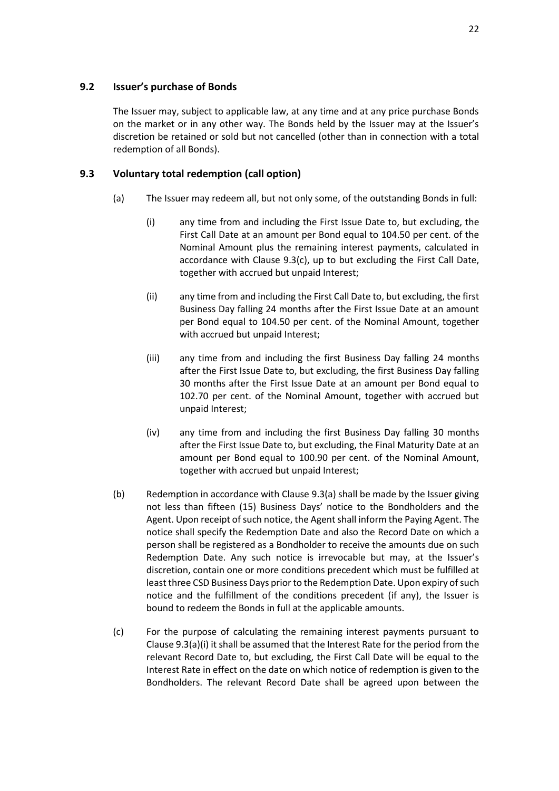### **9.2 Issuer's purchase of Bonds**

The Issuer may, subject to applicable law, at any time and at any price purchase Bonds on the market or in any other way. The Bonds held by the Issuer may at the Issuer's discretion be retained or sold but not cancelled (other than in connection with a total redemption of all Bonds).

### <span id="page-24-2"></span><span id="page-24-0"></span>**9.3 Voluntary total redemption (call option)**

- <span id="page-24-4"></span><span id="page-24-3"></span>(a) The Issuer may redeem all, but not only some, of the outstanding Bonds in full:
	- (i) any time from and including the First Issue Date to, but excluding, the First Call Date at an amount per Bond equal to 104.50 per cent. of the Nominal Amount plus the remaining interest payments, calculated in accordance with Clause [9.3\(c\),](#page-24-1) up to but excluding the First Call Date, together with accrued but unpaid Interest;
	- (ii) any time from and including the First Call Date to, but excluding, the first Business Day falling 24 months after the First Issue Date at an amount per Bond equal to 104.50 per cent. of the Nominal Amount, together with accrued but unpaid Interest;
	- (iii) any time from and including the first Business Day falling 24 months after the First Issue Date to, but excluding, the first Business Day falling 30 months after the First Issue Date at an amount per Bond equal to 102.70 per cent. of the Nominal Amount, together with accrued but unpaid Interest;
	- (iv) any time from and including the first Business Day falling 30 months after the First Issue Date to, but excluding, the Final Maturity Date at an amount per Bond equal to 100.90 per cent. of the Nominal Amount, together with accrued but unpaid Interest;
- (b) Redemption in accordance with Clause [9.3\(a\)](#page-24-2) shall be made by the Issuer giving not less than fifteen (15) Business Days' notice to the Bondholders and the Agent. Upon receipt of such notice, the Agent shall inform the Paying Agent. The notice shall specify the Redemption Date and also the Record Date on which a person shall be registered as a Bondholder to receive the amounts due on such Redemption Date. Any such notice is irrevocable but may, at the Issuer's discretion, contain one or more conditions precedent which must be fulfilled at least three CSD Business Days prior to the Redemption Date. Upon expiry of such notice and the fulfillment of the conditions precedent (if any), the Issuer is bound to redeem the Bonds in full at the applicable amounts.
- <span id="page-24-1"></span>(c) For the purpose of calculating the remaining interest payments pursuant to Claus[e 9.3\(a\)\(i\)](#page-24-3) it shall be assumed that the Interest Rate for the period from the relevant Record Date to, but excluding, the First Call Date will be equal to the Interest Rate in effect on the date on which notice of redemption is given to the Bondholders. The relevant Record Date shall be agreed upon between the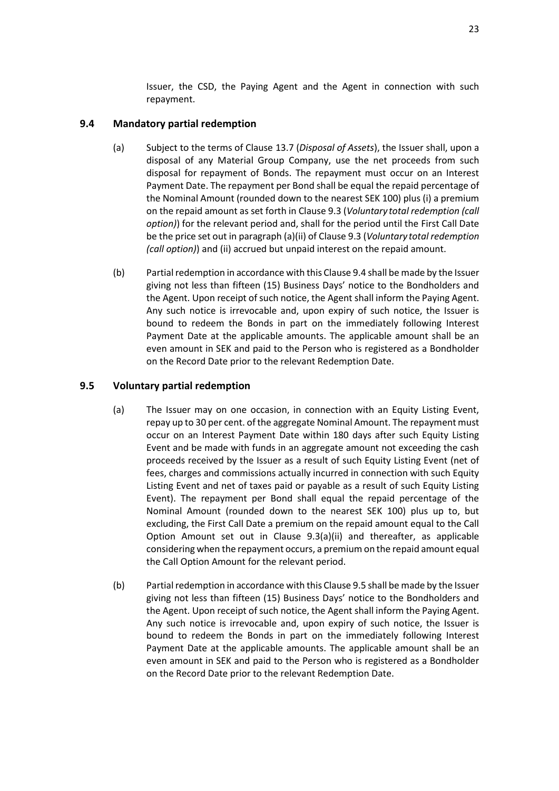Issuer, the CSD, the Paying Agent and the Agent in connection with such repayment.

### <span id="page-25-4"></span><span id="page-25-2"></span>**9.4 Mandatory partial redemption**

- (a) Subject to the terms of Clause [13.7](#page-32-0) (*[Disposal of Assets](#page-32-0)*), the Issuer shall, upon a disposal of any Material Group Company, use the net proceeds from such disposal for repayment of Bonds. The repayment must occur on an Interest Payment Date. The repayment per Bond shall be equal the repaid percentage of the Nominal Amount (rounded down to the nearest SEK 100) plus (i) a premium on the repaid amount as set forth in Claus[e 9.3](#page-24-0) (*Voluntary [total redemption \(call](#page-24-0)  [option\)](#page-24-0)*) for the relevant period and, shall for the period until the First Call Date be the price set out in paragraph (a)(ii) of Claus[e 9.3](#page-24-0) (*Voluntary [total redemption](#page-24-0)  [\(call option\)](#page-24-0)*) and (ii) accrued but unpaid interest on the repaid amount.
- <span id="page-25-3"></span>(b) Partial redemption in accordance with this Claus[e 9.4](#page-25-2) shall be made by the Issuer giving not less than fifteen (15) Business Days' notice to the Bondholders and the Agent. Upon receipt of such notice, the Agent shall inform the Paying Agent. Any such notice is irrevocable and, upon expiry of such notice, the Issuer is bound to redeem the Bonds in part on the immediately following Interest Payment Date at the applicable amounts. The applicable amount shall be an even amount in SEK and paid to the Person who is registered as a Bondholder on the Record Date prior to the relevant Redemption Date.

### <span id="page-25-1"></span><span id="page-25-0"></span>**9.5 Voluntary partial redemption**

- (a) The Issuer may on one occasion, in connection with an Equity Listing Event, repay up to 30 per cent. of the aggregate Nominal Amount. The repayment must occur on an Interest Payment Date within 180 days after such Equity Listing Event and be made with funds in an aggregate amount not exceeding the cash proceeds received by the Issuer as a result of such Equity Listing Event (net of fees, charges and commissions actually incurred in connection with such Equity Listing Event and net of taxes paid or payable as a result of such Equity Listing Event). The repayment per Bond shall equal the repaid percentage of the Nominal Amount (rounded down to the nearest SEK 100) plus up to, but excluding, the First Call Date a premium on the repaid amount equal to the Call Option Amount set out in Clause [9.3\(a\)\(ii\)](#page-24-4) and thereafter, as applicable considering when the repayment occurs, a premium on the repaid amount equal the Call Option Amount for the relevant period.
- (b) Partial redemption in accordance with this Claus[e 9.5](#page-25-1) shall be made by the Issuer giving not less than fifteen (15) Business Days' notice to the Bondholders and the Agent. Upon receipt of such notice, the Agent shall inform the Paying Agent. Any such notice is irrevocable and, upon expiry of such notice, the Issuer is bound to redeem the Bonds in part on the immediately following Interest Payment Date at the applicable amounts. The applicable amount shall be an even amount in SEK and paid to the Person who is registered as a Bondholder on the Record Date prior to the relevant Redemption Date.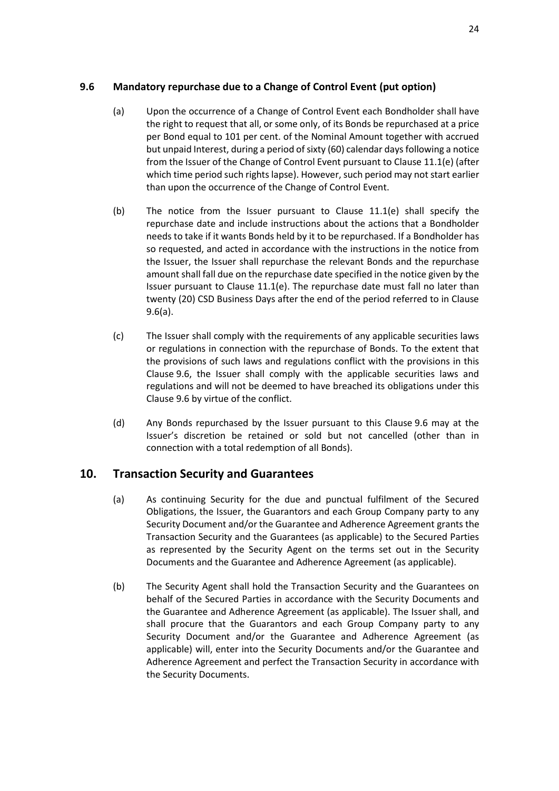## <span id="page-26-2"></span><span id="page-26-1"></span>**9.6 Mandatory repurchase due to a Change of Control Event (put option)**

- (a) Upon the occurrence of a Change of Control Event each Bondholder shall have the right to request that all, or some only, of its Bonds be repurchased at a price per Bond equal to 101 per cent. of the Nominal Amount together with accrued but unpaid Interest, during a period of sixty (60) calendar days following a notice from the Issuer of the Change of Control Event pursuant to Claus[e 11.1\(e\)](#page-28-0) (after which time period such rights lapse). However, such period may not start earlier than upon the occurrence of the Change of Control Event.
- (b) The notice from the Issuer pursuant to Clause [11.1\(e\)](#page-28-0) shall specify the repurchase date and include instructions about the actions that a Bondholder needs to take if it wants Bonds held by it to be repurchased. If a Bondholder has so requested, and acted in accordance with the instructions in the notice from the Issuer, the Issuer shall repurchase the relevant Bonds and the repurchase amount shall fall due on the repurchase date specified in the notice given by the Issuer pursuant to Clause [11.1\(e\).](#page-28-0) The repurchase date must fall no later than twenty (20) CSD Business Days after the end of the period referred to in Clause [9.6\(a\).](#page-26-1)
- (c) The Issuer shall comply with the requirements of any applicable securities laws or regulations in connection with the repurchase of Bonds. To the extent that the provisions of such laws and regulations conflict with the provisions in this Clause [9.6,](#page-26-2) the Issuer shall comply with the applicable securities laws and regulations and will not be deemed to have breached its obligations under this Clause [9.6](#page-26-2) by virtue of the conflict.
- (d) Any Bonds repurchased by the Issuer pursuant to this Clause [9.6](#page-26-2) may at the Issuer's discretion be retained or sold but not cancelled (other than in connection with a total redemption of all Bonds).

## <span id="page-26-0"></span>**10. Transaction Security and Guarantees**

- (a) As continuing Security for the due and punctual fulfilment of the Secured Obligations, the Issuer, the Guarantors and each Group Company party to any Security Document and/or the Guarantee and Adherence Agreement grants the Transaction Security and the Guarantees (as applicable) to the Secured Parties as represented by the Security Agent on the terms set out in the Security Documents and the Guarantee and Adherence Agreement (as applicable).
- (b) The Security Agent shall hold the Transaction Security and the Guarantees on behalf of the Secured Parties in accordance with the Security Documents and the Guarantee and Adherence Agreement (as applicable). The Issuer shall, and shall procure that the Guarantors and each Group Company party to any Security Document and/or the Guarantee and Adherence Agreement (as applicable) will, enter into the Security Documents and/or the Guarantee and Adherence Agreement and perfect the Transaction Security in accordance with the Security Documents.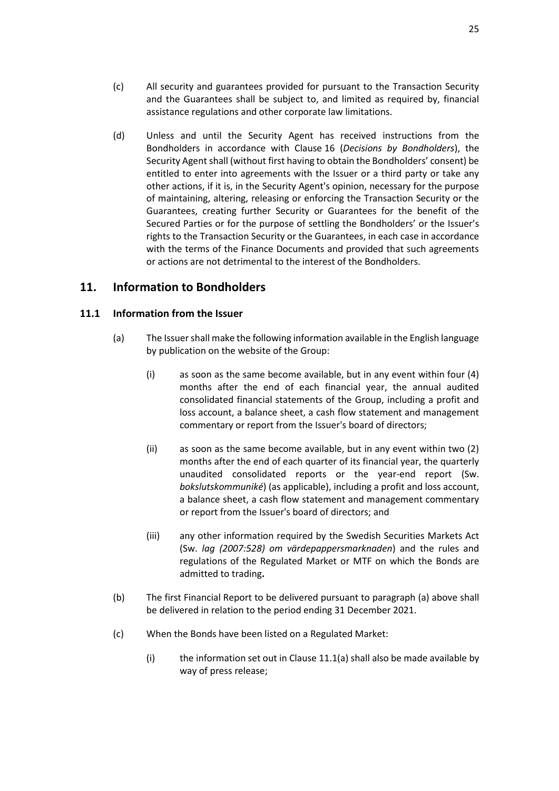- <span id="page-27-5"></span>(c) All security and guarantees provided for pursuant to the Transaction Security and the Guarantees shall be subject to, and limited as required by, financial assistance regulations and other corporate law limitations.
- (d) Unless and until the Security Agent has received instructions from the Bondholders in accordance with Clause [16](#page-39-0) (*[Decisions by Bondholders](#page-39-0)*), the Security Agent shall (without first having to obtain the Bondholders' consent) be entitled to enter into agreements with the Issuer or a third party or take any other actions, if it is, in the Security Agent's opinion, necessary for the purpose of maintaining, altering, releasing or enforcing the Transaction Security or the Guarantees, creating further Security or Guarantees for the benefit of the Secured Parties or for the purpose of settling the Bondholders' or the Issuer's rights to the Transaction Security or the Guarantees, in each case in accordance with the terms of the Finance Documents and provided that such agreements or actions are not detrimental to the interest of the Bondholders.

## <span id="page-27-0"></span>**11. Information to Bondholders**

### <span id="page-27-4"></span><span id="page-27-3"></span>**11.1 Information from the Issuer**

- <span id="page-27-2"></span><span id="page-27-1"></span>(a) The Issuer shall make the following information available in the English language by publication on the website of the Group:
	- (i) as soon as the same become available, but in any event within four (4) months after the end of each financial year, the annual audited consolidated financial statements of the Group, including a profit and loss account, a balance sheet, a cash flow statement and management commentary or report from the Issuer's board of directors;
	- (ii) as soon as the same become available, but in any event within two (2) months after the end of each quarter of its financial year, the quarterly unaudited consolidated reports or the year-end report (Sw. *bokslutskommuniké*) (as applicable), including a profit and loss account, a balance sheet, a cash flow statement and management commentary or report from the Issuer's board of directors; and
	- (iii) any other information required by the Swedish Securities Markets Act (Sw. *lag (2007:528) om värdepappersmarknaden*) and the rules and regulations of the Regulated Market or MTF on which the Bonds are admitted to trading**.**
- (b) The first Financial Report to be delivered pursuant to paragraph (a) above shall be delivered in relation to the period ending 31 December 2021.
- (c) When the Bonds have been listed on a Regulated Market:
	- (i) the information set out in Clause  $11.1(a)$  shall also be made available by way of press release;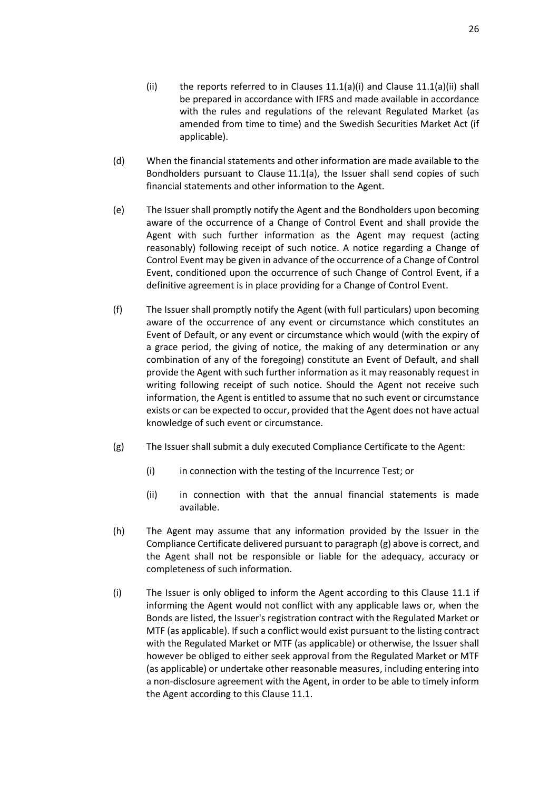- (ii) the reports referred to in Clauses  $11.1(a)(i)$  and Clause  $11.1(a)(ii)$  shall be prepared in accordance with IFRS and made available in accordance with the rules and regulations of the relevant Regulated Market (as amended from time to time) and the Swedish Securities Market Act (if applicable).
- (d) When the financial statements and other information are made available to the Bondholders pursuant to Clause [11.1\(a\),](#page-27-3) the Issuer shall send copies of such financial statements and other information to the Agent.
- <span id="page-28-0"></span>(e) The Issuer shall promptly notify the Agent and the Bondholders upon becoming aware of the occurrence of a Change of Control Event and shall provide the Agent with such further information as the Agent may request (acting reasonably) following receipt of such notice. A notice regarding a Change of Control Event may be given in advance of the occurrence of a Change of Control Event, conditioned upon the occurrence of such Change of Control Event, if a definitive agreement is in place providing for a Change of Control Event.
- (f) The Issuer shall promptly notify the Agent (with full particulars) upon becoming aware of the occurrence of any event or circumstance which constitutes an Event of Default, or any event or circumstance which would (with the expiry of a grace period, the giving of notice, the making of any determination or any combination of any of the foregoing) constitute an Event of Default, and shall provide the Agent with such further information as it may reasonably request in writing following receipt of such notice. Should the Agent not receive such information, the Agent is entitled to assume that no such event or circumstance exists or can be expected to occur, provided that the Agent does not have actual knowledge of such event or circumstance.
- <span id="page-28-1"></span>(g) The Issuer shall submit a duly executed Compliance Certificate to the Agent:
	- (i) in connection with the testing of the Incurrence Test; or
	- (ii) in connection with that the annual financial statements is made available.
- (h) The Agent may assume that any information provided by the Issuer in the Compliance Certificate delivered pursuant to paragrap[h \(g\)](#page-28-1) above is correct, and the Agent shall not be responsible or liable for the adequacy, accuracy or completeness of such information.
- (i) The Issuer is only obliged to inform the Agent according to this Clause [11.1](#page-27-4) if informing the Agent would not conflict with any applicable laws or, when the Bonds are listed, the Issuer's registration contract with the Regulated Market or MTF (as applicable). If such a conflict would exist pursuant to the listing contract with the Regulated Market or MTF (as applicable) or otherwise, the Issuer shall however be obliged to either seek approval from the Regulated Market or MTF (as applicable) or undertake other reasonable measures, including entering into a non-disclosure agreement with the Agent, in order to be able to timely inform the Agent according to this Claus[e 11.1.](#page-27-4)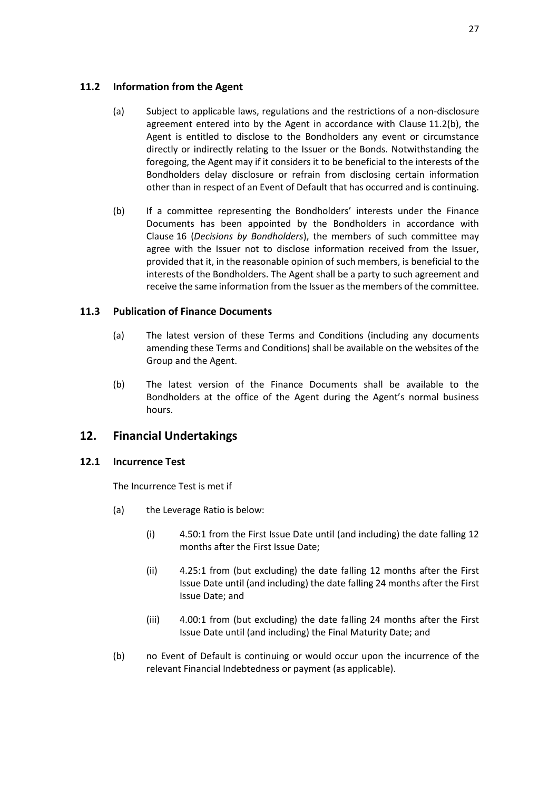### **11.2 Information from the Agent**

- (a) Subject to applicable laws, regulations and the restrictions of a non-disclosure agreement entered into by the Agent in accordance with Clause [11.2\(b\),](#page-29-2) the Agent is entitled to disclose to the Bondholders any event or circumstance directly or indirectly relating to the Issuer or the Bonds. Notwithstanding the foregoing, the Agent may if it considers it to be beneficial to the interests of the Bondholders delay disclosure or refrain from disclosing certain information other than in respect of an Event of Default that has occurred and is continuing.
- <span id="page-29-2"></span>(b) If a committee representing the Bondholders' interests under the Finance Documents has been appointed by the Bondholders in accordance with Clause [16](#page-39-0) (*[Decisions by Bondholders](#page-39-0)*), the members of such committee may agree with the Issuer not to disclose information received from the Issuer, provided that it, in the reasonable opinion of such members, is beneficial to the interests of the Bondholders. The Agent shall be a party to such agreement and receive the same information from the Issuer as the members of the committee.

## <span id="page-29-3"></span>**11.3 Publication of Finance Documents**

- (a) The latest version of these Terms and Conditions (including any documents amending these Terms and Conditions) shall be available on the websites of the Group and the Agent.
- (b) The latest version of the Finance Documents shall be available to the Bondholders at the office of the Agent during the Agent's normal business hours.

## <span id="page-29-0"></span>**12. Financial Undertakings**

### <span id="page-29-1"></span>**12.1 Incurrence Test**

The Incurrence Test is met if

- (a) the Leverage Ratio is below:
	- (i) 4.50:1 from the First Issue Date until (and including) the date falling 12 months after the First Issue Date;
	- (ii) 4.25:1 from (but excluding) the date falling 12 months after the First Issue Date until (and including) the date falling 24 months after the First Issue Date; and
	- (iii) 4.00:1 from (but excluding) the date falling 24 months after the First Issue Date until (and including) the Final Maturity Date; and
- (b) no Event of Default is continuing or would occur upon the incurrence of the relevant Financial Indebtedness or payment (as applicable).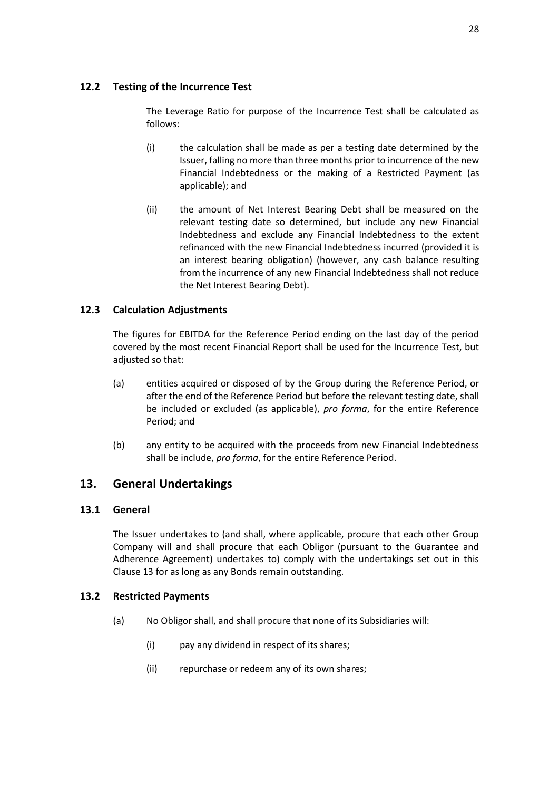### **12.2 Testing of the Incurrence Test**

The Leverage Ratio for purpose of the Incurrence Test shall be calculated as follows:

- (i) the calculation shall be made as per a testing date determined by the Issuer, falling no more than three months prior to incurrence of the new Financial Indebtedness or the making of a Restricted Payment (as applicable); and
- (ii) the amount of Net Interest Bearing Debt shall be measured on the relevant testing date so determined, but include any new Financial Indebtedness and exclude any Financial Indebtedness to the extent refinanced with the new Financial Indebtedness incurred (provided it is an interest bearing obligation) (however, any cash balance resulting from the incurrence of any new Financial Indebtedness shall not reduce the Net Interest Bearing Debt).

## **12.3 Calculation Adjustments**

The figures for EBITDA for the Reference Period ending on the last day of the period covered by the most recent Financial Report shall be used for the Incurrence Test, but adjusted so that:

- (a) entities acquired or disposed of by the Group during the Reference Period, or after the end of the Reference Period but before the relevant testing date, shall be included or excluded (as applicable), *pro forma*, for the entire Reference Period; and
- (b) any entity to be acquired with the proceeds from new Financial Indebtedness shall be include, *pro forma*, for the entire Reference Period.

## <span id="page-30-0"></span>**13. General Undertakings**

### **13.1 General**

The Issuer undertakes to (and shall, where applicable, procure that each other Group Company will and shall procure that each Obligor (pursuant to the Guarantee and Adherence Agreement) undertakes to) comply with the undertakings set out in this Clause 13 for as long as any Bonds remain outstanding.

### <span id="page-30-1"></span>**13.2 Restricted Payments**

- <span id="page-30-2"></span>(a) No Obligor shall, and shall procure that none of its Subsidiaries will:
	- (i) pay any dividend in respect of its shares;
	- (ii) repurchase or redeem any of its own shares;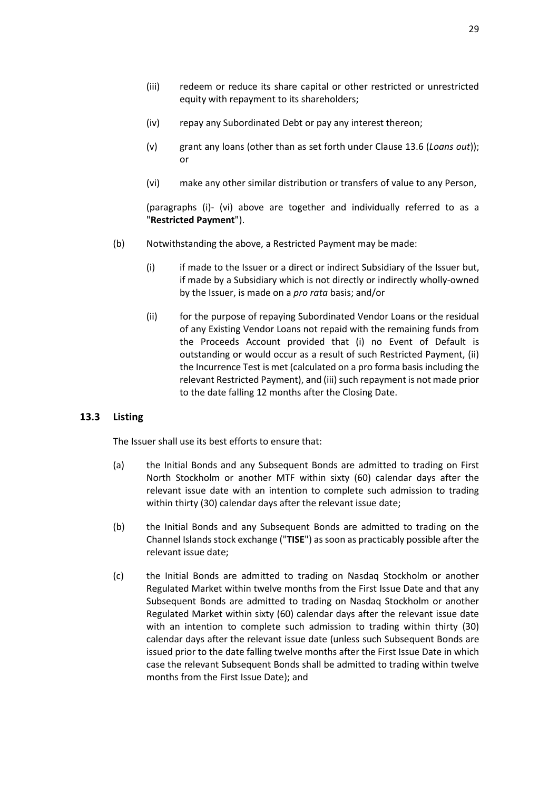- (iv) repay any Subordinated Debt or pay any interest thereon;
- (v) grant any loans (other than as set forth under Clause [13.6](#page-32-1) (*[Loans out](#page-32-1)*)); or
- <span id="page-31-0"></span>(vi) make any other similar distribution or transfers of value to any Person,

(paragraphs [\(i\)-](#page-30-2) [\(vi\)](#page-31-0) above are together and individually referred to as a "**Restricted Payment**").

- (b) Notwithstanding the above, a Restricted Payment may be made:
	- (i) if made to the Issuer or a direct or indirect Subsidiary of the Issuer but, if made by a Subsidiary which is not directly or indirectly wholly-owned by the Issuer, is made on a *pro rata* basis; and/or
	- (ii) for the purpose of repaying Subordinated Vendor Loans or the residual of any Existing Vendor Loans not repaid with the remaining funds from the Proceeds Account provided that (i) no Event of Default is outstanding or would occur as a result of such Restricted Payment, (ii) the Incurrence Test is met (calculated on a pro forma basis including the relevant Restricted Payment), and (iii) such repayment is not made prior to the date falling 12 months after the Closing Date.

### **13.3 Listing**

The Issuer shall use its best efforts to ensure that:

- (a) the Initial Bonds and any Subsequent Bonds are admitted to trading on First North Stockholm or another MTF within sixty (60) calendar days after the relevant issue date with an intention to complete such admission to trading within thirty (30) calendar days after the relevant issue date;
- (b) the Initial Bonds and any Subsequent Bonds are admitted to trading on the Channel Islands stock exchange ("**TISE**") as soon as practicably possible after the relevant issue date;
- (c) the Initial Bonds are admitted to trading on Nasdaq Stockholm or another Regulated Market within twelve months from the First Issue Date and that any Subsequent Bonds are admitted to trading on Nasdaq Stockholm or another Regulated Market within sixty (60) calendar days after the relevant issue date with an intention to complete such admission to trading within thirty (30) calendar days after the relevant issue date (unless such Subsequent Bonds are issued prior to the date falling twelve months after the First Issue Date in which case the relevant Subsequent Bonds shall be admitted to trading within twelve months from the First Issue Date); and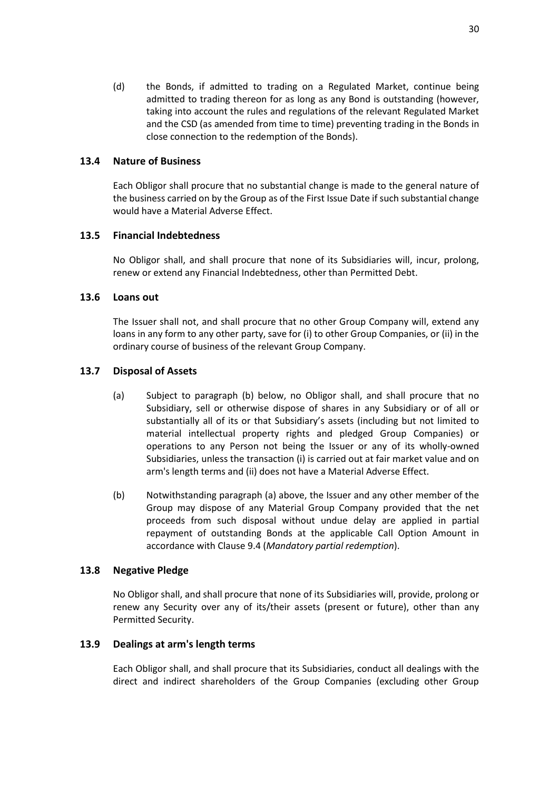(d) the Bonds, if admitted to trading on a Regulated Market, continue being admitted to trading thereon for as long as any Bond is outstanding (however, taking into account the rules and regulations of the relevant Regulated Market and the CSD (as amended from time to time) preventing trading in the Bonds in close connection to the redemption of the Bonds).

### **13.4 Nature of Business**

Each Obligor shall procure that no substantial change is made to the general nature of the business carried on by the Group as of the First Issue Date if such substantial change would have a Material Adverse Effect.

### **13.5 Financial Indebtedness**

No Obligor shall, and shall procure that none of its Subsidiaries will, incur, prolong, renew or extend any Financial Indebtedness, other than Permitted Debt.

#### <span id="page-32-1"></span>**13.6 Loans out**

The Issuer shall not, and shall procure that no other Group Company will, extend any loans in any form to any other party, save for (i) to other Group Companies, or (ii) in the ordinary course of business of the relevant Group Company.

### <span id="page-32-0"></span>**13.7 Disposal of Assets**

- (a) Subject to paragraph [\(b\)](#page-25-3) below, no Obligor shall, and shall procure that no Subsidiary, sell or otherwise dispose of shares in any Subsidiary or of all or substantially all of its or that Subsidiary's assets (including but not limited to material intellectual property rights and pledged Group Companies) or operations to any Person not being the Issuer or any of its wholly-owned Subsidiaries, unless the transaction (i) is carried out at fair market value and on arm's length terms and (ii) does not have a Material Adverse Effect.
- (b) Notwithstanding paragraph [\(a\)](#page-25-4) above, the Issuer and any other member of the Group may dispose of any Material Group Company provided that the net proceeds from such disposal without undue delay are applied in partial repayment of outstanding Bonds at the applicable Call Option Amount in accordance with Claus[e 9.4](#page-25-2) (*[Mandatory partial redemption](#page-25-2)*).

### **13.8 Negative Pledge**

No Obligor shall, and shall procure that none of its Subsidiaries will, provide, prolong or renew any Security over any of its/their assets (present or future), other than any Permitted Security.

#### **13.9 Dealings at arm's length terms**

Each Obligor shall, and shall procure that its Subsidiaries, conduct all dealings with the direct and indirect shareholders of the Group Companies (excluding other Group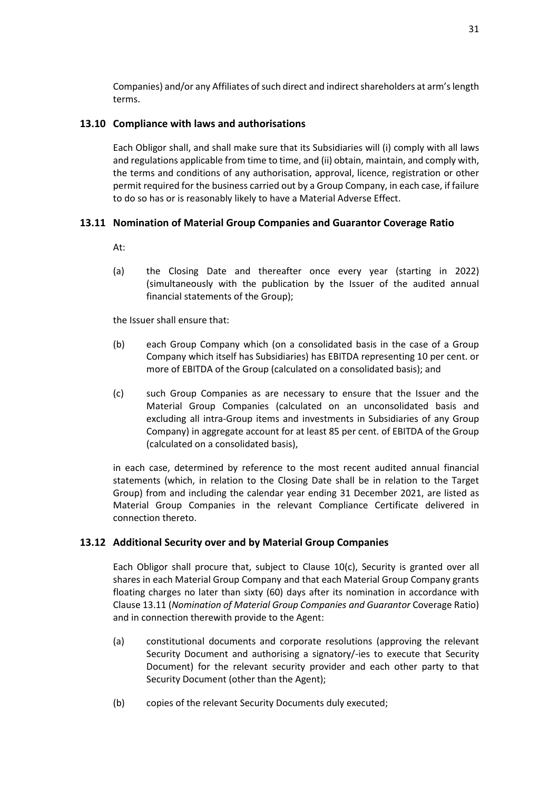Companies) and/or any Affiliates of such direct and indirect shareholders at arm's length terms.

### **13.10 Compliance with laws and authorisations**

Each Obligor shall, and shall make sure that its Subsidiaries will (i) comply with all laws and regulations applicable from time to time, and (ii) obtain, maintain, and comply with, the terms and conditions of any authorisation, approval, licence, registration or other permit required for the business carried out by a Group Company, in each case, if failure to do so has or is reasonably likely to have a Material Adverse Effect.

### <span id="page-33-0"></span>**13.11 Nomination of Material Group Companies and Guarantor Coverage Ratio**

At:

(a) the Closing Date and thereafter once every year (starting in 2022) (simultaneously with the publication by the Issuer of the audited annual financial statements of the Group);

the Issuer shall ensure that:

- (b) each Group Company which (on a consolidated basis in the case of a Group Company which itself has Subsidiaries) has EBITDA representing 10 per cent. or more of EBITDA of the Group (calculated on a consolidated basis); and
- (c) such Group Companies as are necessary to ensure that the Issuer and the Material Group Companies (calculated on an unconsolidated basis and excluding all intra-Group items and investments in Subsidiaries of any Group Company) in aggregate account for at least 85 per cent. of EBITDA of the Group (calculated on a consolidated basis),

in each case, determined by reference to the most recent audited annual financial statements (which, in relation to the Closing Date shall be in relation to the Target Group) from and including the calendar year ending 31 December 2021, are listed as Material Group Companies in the relevant Compliance Certificate delivered in connection thereto.

### **13.12 Additional Security over and by Material Group Companies**

Each Obligor shall procure that, subject to Clause [10\(c\),](#page-27-5) Security is granted over all shares in each Material Group Company and that each Material Group Company grants floating charges no later than sixty (60) days after its nomination in accordance with Clause [13.11](#page-33-0) (*Nomination [of Material Group Companies](#page-33-0) and Guarantor* Coverage Ratio) and in connection therewith provide to the Agent:

- (a) constitutional documents and corporate resolutions (approving the relevant Security Document and authorising a signatory/-ies to execute that Security Document) for the relevant security provider and each other party to that Security Document (other than the Agent);
- (b) copies of the relevant Security Documents duly executed;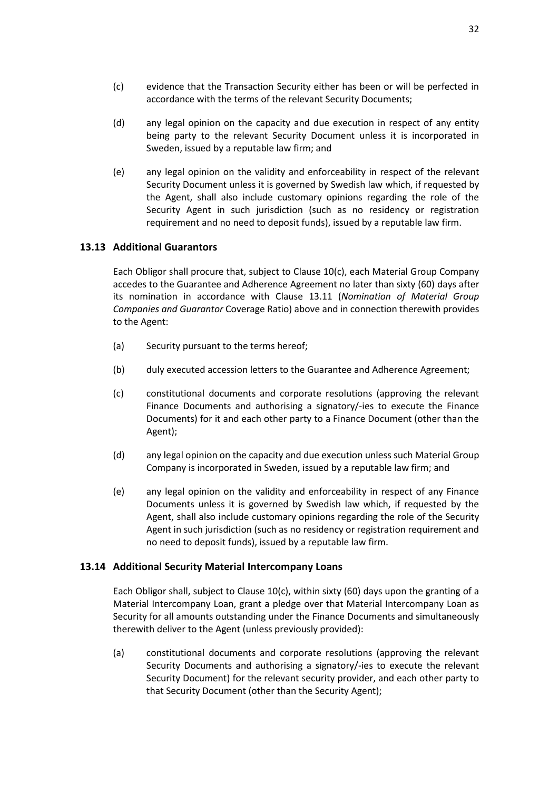- (c) evidence that the Transaction Security either has been or will be perfected in accordance with the terms of the relevant Security Documents;
- (d) any legal opinion on the capacity and due execution in respect of any entity being party to the relevant Security Document unless it is incorporated in Sweden, issued by a reputable law firm; and
- (e) any legal opinion on the validity and enforceability in respect of the relevant Security Document unless it is governed by Swedish law which, if requested by the Agent, shall also include customary opinions regarding the role of the Security Agent in such jurisdiction (such as no residency or registration requirement and no need to deposit funds), issued by a reputable law firm.

### <span id="page-34-0"></span>**13.13 Additional Guarantors**

Each Obligor shall procure that, subject to Clause [10\(c\),](#page-27-5) each Material Group Company accedes to the Guarantee and Adherence Agreement no later than sixty (60) days after its nomination in accordance with Clause [13.11](#page-33-0) (*Nomination [of Material Group](#page-33-0)  Companies and Guarantor* [Coverage Ratio\)](#page-33-0) above and in connection therewith provides to the Agent:

- (a) Security pursuant to the terms hereof;
- (b) duly executed accession letters to the Guarantee and Adherence Agreement;
- (c) constitutional documents and corporate resolutions (approving the relevant Finance Documents and authorising a signatory/-ies to execute the Finance Documents) for it and each other party to a Finance Document (other than the Agent);
- (d) any legal opinion on the capacity and due execution unless such Material Group Company is incorporated in Sweden, issued by a reputable law firm; and
- (e) any legal opinion on the validity and enforceability in respect of any Finance Documents unless it is governed by Swedish law which, if requested by the Agent, shall also include customary opinions regarding the role of the Security Agent in such jurisdiction (such as no residency or registration requirement and no need to deposit funds), issued by a reputable law firm.

#### **13.14 Additional Security Material Intercompany Loans**

Each Obligor shall, subject to Clause  $10(c)$ , within sixty (60) days upon the granting of a Material Intercompany Loan, grant a pledge over that Material Intercompany Loan as Security for all amounts outstanding under the Finance Documents and simultaneously therewith deliver to the Agent (unless previously provided):

(a) constitutional documents and corporate resolutions (approving the relevant Security Documents and authorising a signatory/-ies to execute the relevant Security Document) for the relevant security provider, and each other party to that Security Document (other than the Security Agent);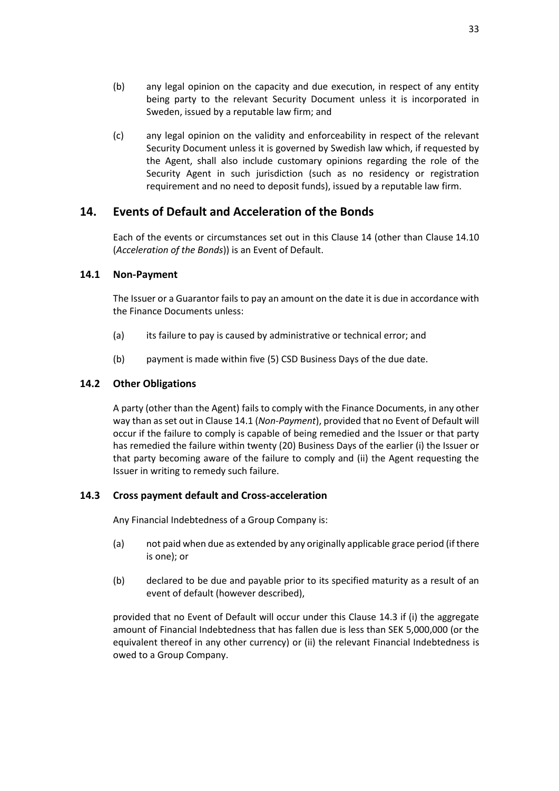- (b) any legal opinion on the capacity and due execution, in respect of any entity being party to the relevant Security Document unless it is incorporated in Sweden, issued by a reputable law firm; and
- (c) any legal opinion on the validity and enforceability in respect of the relevant Security Document unless it is governed by Swedish law which, if requested by the Agent, shall also include customary opinions regarding the role of the Security Agent in such jurisdiction (such as no residency or registration requirement and no need to deposit funds), issued by a reputable law firm.

## <span id="page-35-0"></span>**14. Events of Default and Acceleration of the Bonds**

Each of the events or circumstances set out in this Clause [14](#page-35-0) (other than Clause [14.10](#page-37-1) (*[Acceleration of the Bonds](#page-37-1)*)) is an Event of Default.

### <span id="page-35-1"></span>**14.1 Non-Payment**

The Issuer or a Guarantor fails to pay an amount on the date it is due in accordance with the Finance Documents unless:

- (a) its failure to pay is caused by administrative or technical error; and
- (b) payment is made within five (5) CSD Business Days of the due date.

### **14.2 Other Obligations**

A party (other than the Agent) fails to comply with the Finance Documents, in any other way than as set out in Clause [14.1](#page-35-1) (*[Non-Payment](#page-35-1)*), provided that no Event of Default will occur if the failure to comply is capable of being remedied and the Issuer or that party has remedied the failure within twenty (20) Business Days of the earlier (i) the Issuer or that party becoming aware of the failure to comply and (ii) the Agent requesting the Issuer in writing to remedy such failure.

#### <span id="page-35-2"></span>**14.3 Cross payment default and Cross-acceleration**

Any Financial Indebtedness of a Group Company is:

- (a) not paid when due as extended by any originally applicable grace period (if there is one); or
- (b) declared to be due and payable prior to its specified maturity as a result of an event of default (however described),

provided that no Event of Default will occur under this Clause [14.3](#page-35-2) if (i) the aggregate amount of Financial Indebtedness that has fallen due is less than SEK 5,000,000 (or the equivalent thereof in any other currency) or (ii) the relevant Financial Indebtedness is owed to a Group Company.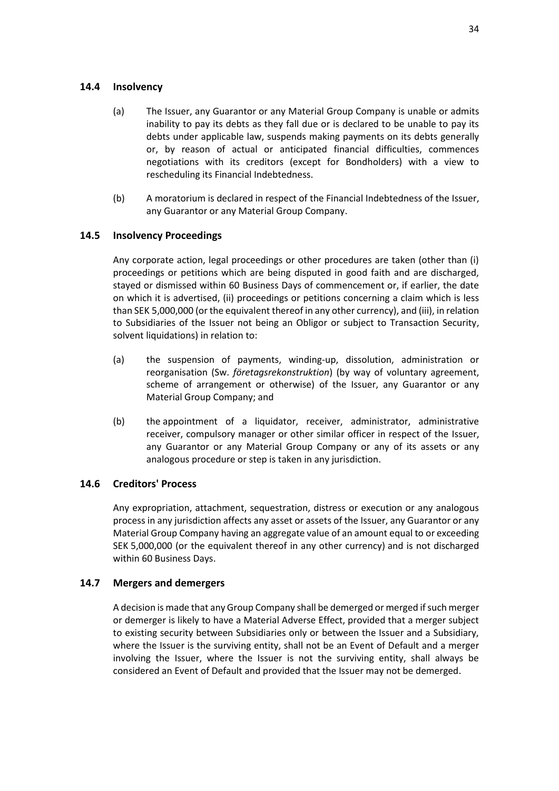### **14.4 Insolvency**

- (a) The Issuer, any Guarantor or any Material Group Company is unable or admits inability to pay its debts as they fall due or is declared to be unable to pay its debts under applicable law, suspends making payments on its debts generally or, by reason of actual or anticipated financial difficulties, commences negotiations with its creditors (except for Bondholders) with a view to rescheduling its Financial Indebtedness.
- (b) A moratorium is declared in respect of the Financial Indebtedness of the Issuer, any Guarantor or any Material Group Company.

### **14.5 Insolvency Proceedings**

Any corporate action, legal proceedings or other procedures are taken (other than (i) proceedings or petitions which are being disputed in good faith and are discharged, stayed or dismissed within 60 Business Days of commencement or, if earlier, the date on which it is advertised, (ii) proceedings or petitions concerning a claim which is less than SEK 5,000,000 (or the equivalent thereof in any other currency), and (iii), in relation to Subsidiaries of the Issuer not being an Obligor or subject to Transaction Security, solvent liquidations) in relation to:

- (a) the suspension of payments, winding-up, dissolution, administration or reorganisation (Sw. *företagsrekonstruktion*) (by way of voluntary agreement, scheme of arrangement or otherwise) of the Issuer, any Guarantor or any Material Group Company; and
- (b) the appointment of a liquidator, receiver, administrator, administrative receiver, compulsory manager or other similar officer in respect of the Issuer, any Guarantor or any Material Group Company or any of its assets or any analogous procedure or step is taken in any jurisdiction.

### **14.6 Creditors' Process**

Any expropriation, attachment, sequestration, distress or execution or any analogous process in any jurisdiction affects any asset or assets of the Issuer, any Guarantor or any Material Group Company having an aggregate value of an amount equal to or exceeding SEK 5,000,000 (or the equivalent thereof in any other currency) and is not discharged within 60 Business Days.

### **14.7 Mergers and demergers**

A decision is made that any Group Company shall be demerged or merged ifsuch merger or demerger is likely to have a Material Adverse Effect, provided that a merger subject to existing security between Subsidiaries only or between the Issuer and a Subsidiary, where the Issuer is the surviving entity, shall not be an Event of Default and a merger involving the Issuer, where the Issuer is not the surviving entity, shall always be considered an Event of Default and provided that the Issuer may not be demerged.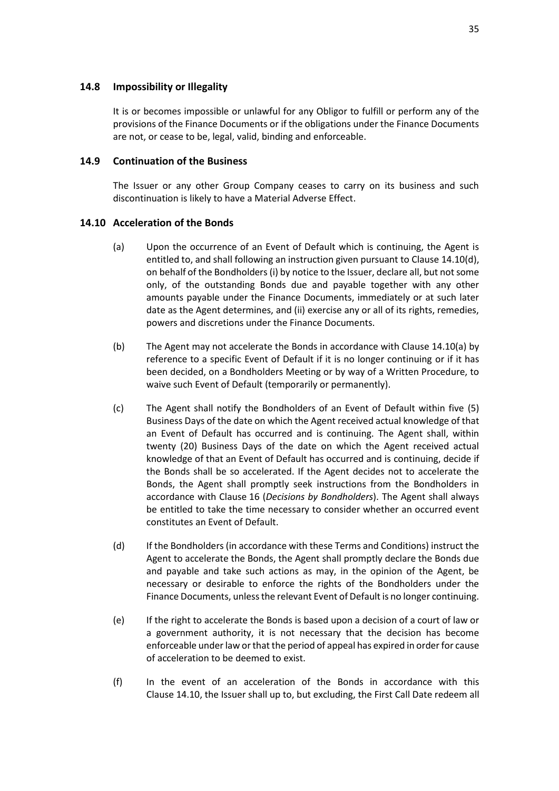#### **14.8 Impossibility or Illegality**

It is or becomes impossible or unlawful for any Obligor to fulfill or perform any of the provisions of the Finance Documents or if the obligations under the Finance Documents are not, or cease to be, legal, valid, binding and enforceable.

### <span id="page-37-0"></span>**14.9 Continuation of the Business**

The Issuer or any other Group Company ceases to carry on its business and such discontinuation is likely to have a Material Adverse Effect.

### <span id="page-37-3"></span><span id="page-37-1"></span>**14.10 Acceleration of the Bonds**

- (a) Upon the occurrence of an Event of Default which is continuing, the Agent is entitled to, and shall following an instruction given pursuant to Clause [14.10\(d\),](#page-37-2) on behalf of the Bondholders (i) by notice to the Issuer, declare all, but not some only, of the outstanding Bonds due and payable together with any other amounts payable under the Finance Documents, immediately or at such later date as the Agent determines, and (ii) exercise any or all of its rights, remedies, powers and discretions under the Finance Documents.
- (b) The Agent may not accelerate the Bonds in accordance with Clause [14.10\(a\)](#page-37-3) by reference to a specific Event of Default if it is no longer continuing or if it has been decided, on a Bondholders Meeting or by way of a Written Procedure, to waive such Event of Default (temporarily or permanently).
- <span id="page-37-4"></span>(c) The Agent shall notify the Bondholders of an Event of Default within five (5) Business Days of the date on which the Agent received actual knowledge of that an Event of Default has occurred and is continuing. The Agent shall, within twenty (20) Business Days of the date on which the Agent received actual knowledge of that an Event of Default has occurred and is continuing, decide if the Bonds shall be so accelerated. If the Agent decides not to accelerate the Bonds, the Agent shall promptly seek instructions from the Bondholders in accordance with Clause [16](#page-39-0) (*[Decisions by Bondholders](#page-39-0)*). The Agent shall always be entitled to take the time necessary to consider whether an occurred event constitutes an Event of Default.
- <span id="page-37-2"></span>(d) If the Bondholders (in accordance with these Terms and Conditions) instruct the Agent to accelerate the Bonds, the Agent shall promptly declare the Bonds due and payable and take such actions as may, in the opinion of the Agent, be necessary or desirable to enforce the rights of the Bondholders under the Finance Documents, unless the relevant Event of Default is no longer continuing.
- (e) If the right to accelerate the Bonds is based upon a decision of a court of law or a government authority, it is not necessary that the decision has become enforceable under law or that the period of appeal has expired in order for cause of acceleration to be deemed to exist.
- (f) In the event of an acceleration of the Bonds in accordance with this Clause [14.10,](#page-37-1) the Issuer shall up to, but excluding, the First Call Date redeem all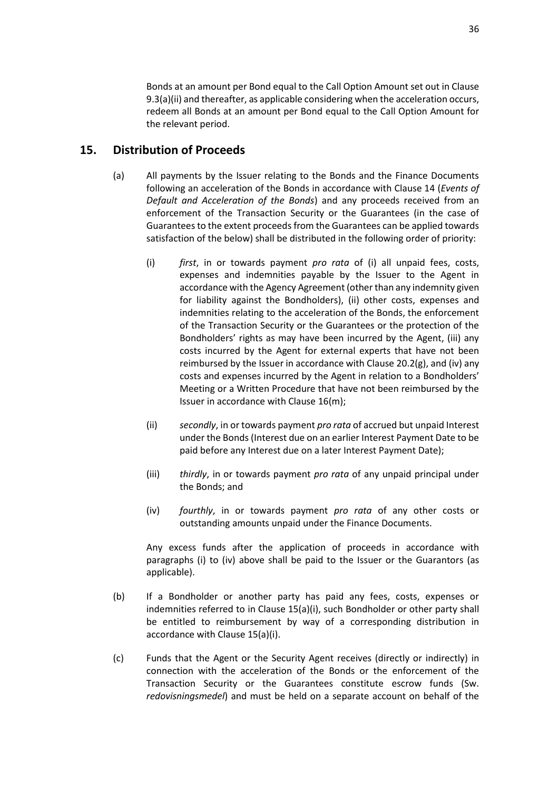Bonds at an amount per Bond equal to the Call Option Amount set out in Clause [9.3\(a\)\(ii\)](#page-24-4) and thereafter, as applicable considering when the acceleration occurs, redeem all Bonds at an amount per Bond equal to the Call Option Amount for the relevant period.

## <span id="page-38-0"></span>**15. Distribution of Proceeds**

- <span id="page-38-1"></span>(a) All payments by the Issuer relating to the Bonds and the Finance Documents following an acceleration of the Bonds in accordance with Clause [14](#page-35-0) (*[Events of](#page-35-0)  [Default and Acceleration of the Bonds](#page-35-0)*) and any proceeds received from an enforcement of the Transaction Security or the Guarantees (in the case of Guarantees to the extent proceeds from the Guarantees can be applied towards satisfaction of the below) shall be distributed in the following order of priority:
	- (i) *first*, in or towards payment *pro rata* of (i) all unpaid fees, costs, expenses and indemnities payable by the Issuer to the Agent in accordance with the Agency Agreement (other than any indemnity given for liability against the Bondholders), (ii) other costs, expenses and indemnities relating to the acceleration of the Bonds, the enforcement of the Transaction Security or the Guarantees or the protection of the Bondholders' rights as may have been incurred by the Agent, (iii) any costs incurred by the Agent for external experts that have not been reimbursed by the Issuer in accordance with Clause [20.2\(g\),](#page-46-0) and (iv) any costs and expenses incurred by the Agent in relation to a Bondholders' Meeting or a Written Procedure that have not been reimbursed by the Issuer in accordance with Clause [16\(m\);](#page-42-1)
	- (ii) *secondly*, in or towards payment *pro rata* of accrued but unpaid Interest under the Bonds (Interest due on an earlier Interest Payment Date to be paid before any Interest due on a later Interest Payment Date);
	- (iii) *thirdly*, in or towards payment *pro rata* of any unpaid principal under the Bonds; and
	- (iv) *fourthly*, in or towards payment *pro rata* of any other costs or outstanding amounts unpaid under the Finance Documents.

<span id="page-38-2"></span>Any excess funds after the application of proceeds in accordance with paragraphs [\(i\)](#page-38-1) to [\(iv\)](#page-38-2) above shall be paid to the Issuer or the Guarantors (as applicable).

- (b) If a Bondholder or another party has paid any fees, costs, expenses or indemnities referred to in Clause [15\(a\)\(i\),](#page-38-1) such Bondholder or other party shall be entitled to reimbursement by way of a corresponding distribution in accordance with Claus[e 15\(a\)\(i\).](#page-38-1)
- (c) Funds that the Agent or the Security Agent receives (directly or indirectly) in connection with the acceleration of the Bonds or the enforcement of the Transaction Security or the Guarantees constitute escrow funds (Sw. *redovisningsmedel*) and must be held on a separate account on behalf of the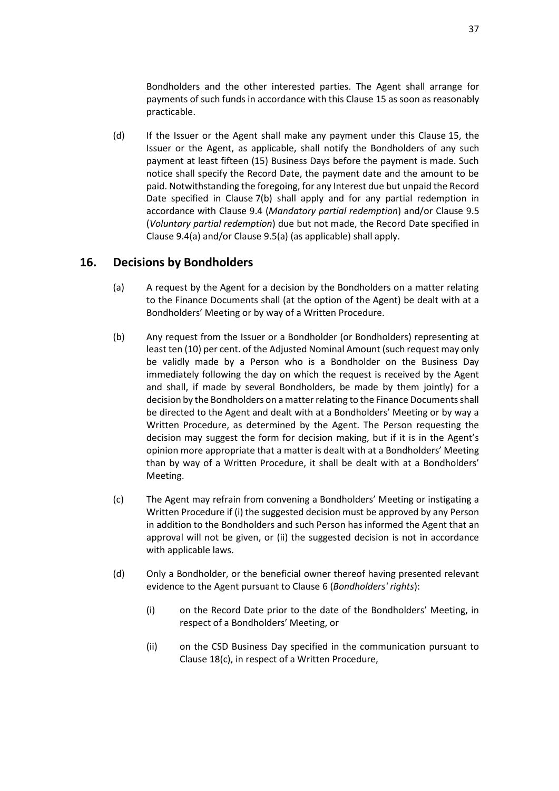Bondholders and the other interested parties. The Agent shall arrange for payments of such funds in accordance with this Clause [15](#page-38-0) as soon as reasonably practicable.

(d) If the Issuer or the Agent shall make any payment under this Clause [15,](#page-38-0) the Issuer or the Agent, as applicable, shall notify the Bondholders of any such payment at least fifteen (15) Business Days before the payment is made. Such notice shall specify the Record Date, the payment date and the amount to be paid. Notwithstanding the foregoing, for any Interest due but unpaid the Record Date specified in Clause [7\(b\)](#page-22-3) shall apply and for any partial redemption in accordance with Clause [9.4](#page-25-2) (*[Mandatory partial redemption](#page-25-2)*) and/or Clause [9.5](#page-25-1) (*[Voluntary partial redemption](#page-25-1)*) due but not made, the Record Date specified in Claus[e 9.4\(a\)](#page-25-4) and/or Clause [9.5\(a\)](#page-25-0) (as applicable) shall apply.

## <span id="page-39-0"></span>**16. Decisions by Bondholders**

- (a) A request by the Agent for a decision by the Bondholders on a matter relating to the Finance Documents shall (at the option of the Agent) be dealt with at a Bondholders' Meeting or by way of a Written Procedure.
- (b) Any request from the Issuer or a Bondholder (or Bondholders) representing at least ten (10) per cent. of the Adjusted Nominal Amount (such request may only be validly made by a Person who is a Bondholder on the Business Day immediately following the day on which the request is received by the Agent and shall, if made by several Bondholders, be made by them jointly) for a decision by the Bondholders on a matter relating to the Finance Documents shall be directed to the Agent and dealt with at a Bondholders' Meeting or by way a Written Procedure, as determined by the Agent. The Person requesting the decision may suggest the form for decision making, but if it is in the Agent's opinion more appropriate that a matter is dealt with at a Bondholders' Meeting than by way of a Written Procedure, it shall be dealt with at a Bondholders' Meeting.
- (c) The Agent may refrain from convening a Bondholders' Meeting or instigating a Written Procedure if (i) the suggested decision must be approved by any Person in addition to the Bondholders and such Person has informed the Agent that an approval will not be given, or (ii) the suggested decision is not in accordance with applicable laws.
- (d) Only a Bondholder, or the beneficial owner thereof having presented relevant evidence to the Agent pursuant to Clause [6](#page-22-0) (*[Bondholders' rights](#page-22-0)*):
	- (i) on the Record Date prior to the date of the Bondholders' Meeting, in respect of a Bondholders' Meeting, or
	- (ii) on the CSD Business Day specified in the communication pursuant to Clause [18\(c\),](#page-43-2) in respect of a Written Procedure,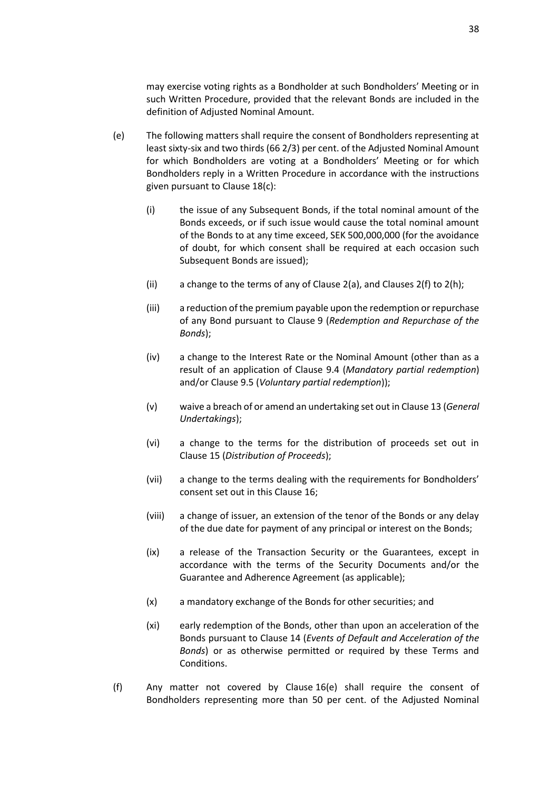may exercise voting rights as a Bondholder at such Bondholders' Meeting or in such Written Procedure, provided that the relevant Bonds are included in the definition of Adjusted Nominal Amount.

- <span id="page-40-1"></span><span id="page-40-0"></span>(e) The following matters shall require the consent of Bondholders representing at least sixty-six and two thirds (66 2/3) per cent. of the Adjusted Nominal Amount for which Bondholders are voting at a Bondholders' Meeting or for which Bondholders reply in a Written Procedure in accordance with the instructions given pursuant to Clause [18\(c\):](#page-43-2)
	- (i) the issue of any Subsequent Bonds, if the total nominal amount of the Bonds exceeds, or if such issue would cause the total nominal amount of the Bonds to at any time exceed, SEK 500,000,000 (for the avoidance of doubt, for which consent shall be required at each occasion such Subsequent Bonds are issued);
	- (ii) a change to the terms of any of Clause [2\(a\),](#page-18-3) and Clauses [2\(f\)](#page-19-2) t[o 2\(h\);](#page-19-3)
	- (iii) a reduction of the premium payable upon the redemption or repurchase of any Bond pursuant to Clause [9](#page-23-1) (*[Redemption and Repurchase of the](#page-23-1)  [Bonds](#page-23-1)*);
	- (iv) a change to the Interest Rate or the Nominal Amount (other than as a result of an application of Clause [9.4](#page-25-2) (*[Mandatory partial redemption](#page-25-2)*) and/or Clause [9.5](#page-25-1) (*[Voluntary partial redemption](#page-25-1)*));
	- (v) waive a breach of or amend an undertaking set out in Clause [13](#page-30-0) (*[General](#page-30-0)  [Undertakings](#page-30-0)*);
	- (vi) a change to the terms for the distribution of proceeds set out in Clause [15](#page-38-0) (*[Distribution of Proceeds](#page-38-0)*);
	- (vii) a change to the terms dealing with the requirements for Bondholders' consent set out in this Clause [16;](#page-39-0)
	- (viii) a change of issuer, an extension of the tenor of the Bonds or any delay of the due date for payment of any principal or interest on the Bonds;
	- (ix) a release of the Transaction Security or the Guarantees, except in accordance with the terms of the Security Documents and/or the Guarantee and Adherence Agreement (as applicable);
	- (x) a mandatory exchange of the Bonds for other securities; and
	- (xi) early redemption of the Bonds, other than upon an acceleration of the Bonds pursuant to Clause [14](#page-35-0) (*[Events of Default and Acceleration of the](#page-35-0)  [Bonds](#page-35-0)*) or as otherwise permitted or required by these Terms and Conditions.
- <span id="page-40-2"></span>(f) Any matter not covered by Clause [16\(e\)](#page-40-1) shall require the consent of Bondholders representing more than 50 per cent. of the Adjusted Nominal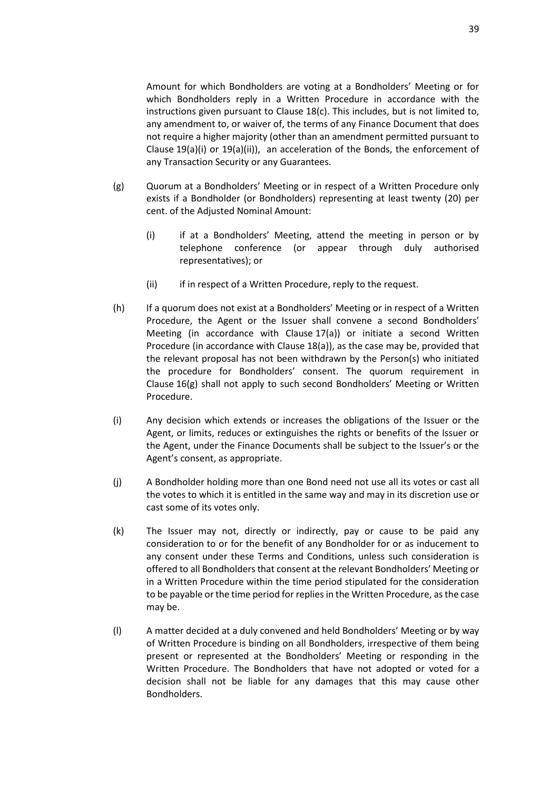Amount for which Bondholders are voting at a Bondholders' Meeting or for which Bondholders reply in a Written Procedure in accordance with the instructions given pursuant to Clause [18\(c\).](#page-43-2) This includes, but is not limited to, any amendment to, or waiver of, the terms of any Finance Document that does not require a higher majority (other than an amendment permitted pursuant to Clause [19\(a\)\(i\)](#page-43-3) or [19\(a\)\(ii\)\)](#page-43-4), an acceleration of the Bonds, the enforcement of any Transaction Security or any Guarantees.

- <span id="page-41-0"></span>(g) Quorum at a Bondholders' Meeting or in respect of a Written Procedure only exists if a Bondholder (or Bondholders) representing at least twenty (20) per cent. of the Adjusted Nominal Amount:
	- (i) if at a Bondholders' Meeting, attend the meeting in person or by telephone conference (or appear through duly authorised representatives); or
	- (ii) if in respect of a Written Procedure, reply to the request.
- (h) If a quorum does not exist at a Bondholders' Meeting or in respect of a Written Procedure, the Agent or the Issuer shall convene a second Bondholders' Meeting (in accordance with Clause [17\(a\)\)](#page-42-2) or initiate a second Written Procedure (in accordance with Clause [18\(a\)\)](#page-43-5), as the case may be, provided that the relevant proposal has not been withdrawn by the Person(s) who initiated the procedure for Bondholders' consent. The quorum requirement in Clause [16\(g\)](#page-41-0) shall not apply to such second Bondholders' Meeting or Written Procedure.
- (i) Any decision which extends or increases the obligations of the Issuer or the Agent, or limits, reduces or extinguishes the rights or benefits of the Issuer or the Agent, under the Finance Documents shall be subject to the Issuer's or the Agent's consent, as appropriate.
- (j) A Bondholder holding more than one Bond need not use all its votes or cast all the votes to which it is entitled in the same way and may in its discretion use or cast some of its votes only.
- (k) The Issuer may not, directly or indirectly, pay or cause to be paid any consideration to or for the benefit of any Bondholder for or as inducement to any consent under these Terms and Conditions, unless such consideration is offered to all Bondholders that consent at the relevant Bondholders' Meeting or in a Written Procedure within the time period stipulated for the consideration to be payable or the time period for replies in the Written Procedure, as the case may be.
- (l) A matter decided at a duly convened and held Bondholders' Meeting or by way of Written Procedure is binding on all Bondholders, irrespective of them being present or represented at the Bondholders' Meeting or responding in the Written Procedure. The Bondholders that have not adopted or voted for a decision shall not be liable for any damages that this may cause other Bondholders.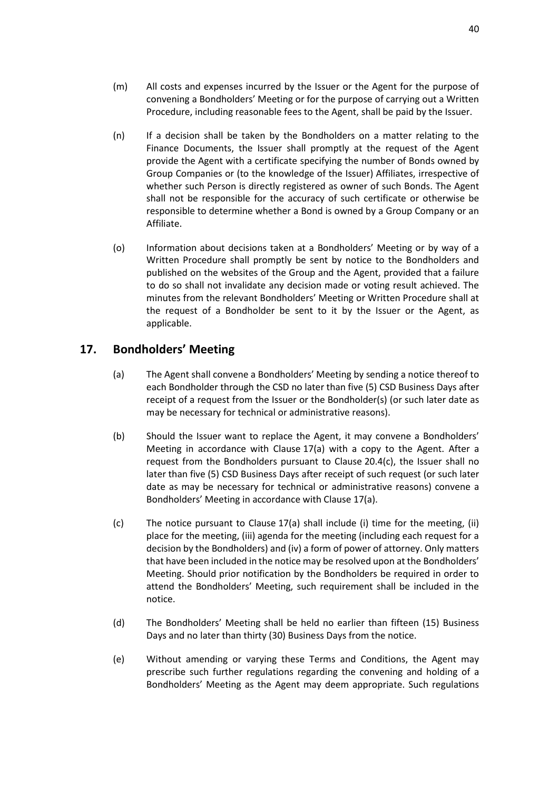- <span id="page-42-1"></span>(m) All costs and expenses incurred by the Issuer or the Agent for the purpose of convening a Bondholders' Meeting or for the purpose of carrying out a Written Procedure, including reasonable fees to the Agent, shall be paid by the Issuer.
- (n) If a decision shall be taken by the Bondholders on a matter relating to the Finance Documents, the Issuer shall promptly at the request of the Agent provide the Agent with a certificate specifying the number of Bonds owned by Group Companies or (to the knowledge of the Issuer) Affiliates, irrespective of whether such Person is directly registered as owner of such Bonds. The Agent shall not be responsible for the accuracy of such certificate or otherwise be responsible to determine whether a Bond is owned by a Group Company or an Affiliate.
- <span id="page-42-3"></span>(o) Information about decisions taken at a Bondholders' Meeting or by way of a Written Procedure shall promptly be sent by notice to the Bondholders and published on the websites of the Group and the Agent, provided that a failure to do so shall not invalidate any decision made or voting result achieved. The minutes from the relevant Bondholders' Meeting or Written Procedure shall at the request of a Bondholder be sent to it by the Issuer or the Agent, as applicable.

## <span id="page-42-2"></span><span id="page-42-0"></span>**17. Bondholders' Meeting**

- (a) The Agent shall convene a Bondholders' Meeting by sending a notice thereof to each Bondholder through the CSD no later than five (5) CSD Business Days after receipt of a request from the Issuer or the Bondholder(s) (or such later date as may be necessary for technical or administrative reasons).
- (b) Should the Issuer want to replace the Agent, it may convene a Bondholders' Meeting in accordance with Clause [17\(a\)](#page-42-2) with a copy to the Agent. After a request from the Bondholders pursuant to Clause [20.4\(c\),](#page-48-0) the Issuer shall no later than five (5) CSD Business Days after receipt of such request (or such later date as may be necessary for technical or administrative reasons) convene a Bondholders' Meeting in accordance with Clause [17\(a\).](#page-42-2)
- (c) The notice pursuant to Clause [17\(a\)](#page-42-2) shall include (i) time for the meeting, (ii) place for the meeting, (iii) agenda for the meeting (including each request for a decision by the Bondholders) and (iv) a form of power of attorney. Only matters that have been included in the notice may be resolved upon at the Bondholders' Meeting. Should prior notification by the Bondholders be required in order to attend the Bondholders' Meeting, such requirement shall be included in the notice.
- (d) The Bondholders' Meeting shall be held no earlier than fifteen (15) Business Days and no later than thirty (30) Business Days from the notice.
- (e) Without amending or varying these Terms and Conditions, the Agent may prescribe such further regulations regarding the convening and holding of a Bondholders' Meeting as the Agent may deem appropriate. Such regulations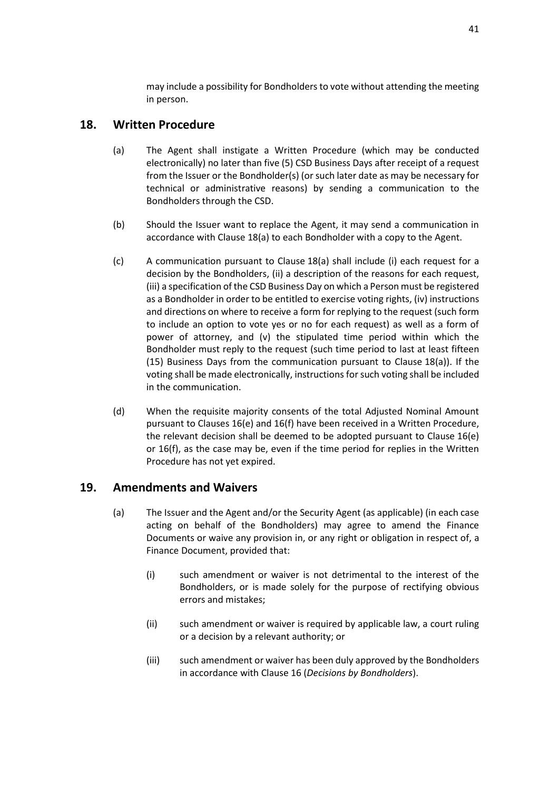may include a possibility for Bondholders to vote without attending the meeting in person.

## <span id="page-43-5"></span><span id="page-43-0"></span>**18. Written Procedure**

- (a) The Agent shall instigate a Written Procedure (which may be conducted electronically) no later than five (5) CSD Business Days after receipt of a request from the Issuer or the Bondholder(s) (or such later date as may be necessary for technical or administrative reasons) by sending a communication to the Bondholders through the CSD.
- (b) Should the Issuer want to replace the Agent, it may send a communication in accordance with Clause [18\(a\)](#page-43-5) to each Bondholder with a copy to the Agent.
- <span id="page-43-2"></span>(c) A communication pursuant to Clause [18\(a\)](#page-43-5) shall include (i) each request for a decision by the Bondholders, (ii) a description of the reasons for each request, (iii) a specification of the CSD Business Day on which a Person must be registered as a Bondholder in order to be entitled to exercise voting rights, (iv) instructions and directions on where to receive a form for replying to the request (such form to include an option to vote yes or no for each request) as well as a form of power of attorney, and (v) the stipulated time period within which the Bondholder must reply to the request (such time period to last at least fifteen (15) Business Days from the communication pursuant to Clause [18\(a\)\)](#page-43-5). If the voting shall be made electronically, instructions for such voting shall be included in the communication.
- (d) When the requisite majority consents of the total Adjusted Nominal Amount pursuant to Clauses [16\(e\)](#page-40-1) and [16\(f\)](#page-40-2) have been received in a Written Procedure, the relevant decision shall be deemed to be adopted pursuant to Clause [16\(e\)](#page-40-1) or [16\(f\),](#page-40-2) as the case may be, even if the time period for replies in the Written Procedure has not yet expired.

## <span id="page-43-6"></span><span id="page-43-1"></span>**19. Amendments and Waivers**

- <span id="page-43-4"></span><span id="page-43-3"></span>(a) The Issuer and the Agent and/or the Security Agent (as applicable) (in each case acting on behalf of the Bondholders) may agree to amend the Finance Documents or waive any provision in, or any right or obligation in respect of, a Finance Document, provided that:
	- (i) such amendment or waiver is not detrimental to the interest of the Bondholders, or is made solely for the purpose of rectifying obvious errors and mistakes;
	- (ii) such amendment or waiver is required by applicable law, a court ruling or a decision by a relevant authority; or
	- (iii) such amendment or waiver has been duly approved by the Bondholders in accordance with Clause [16](#page-39-0) (*[Decisions by Bondholders](#page-39-0)*).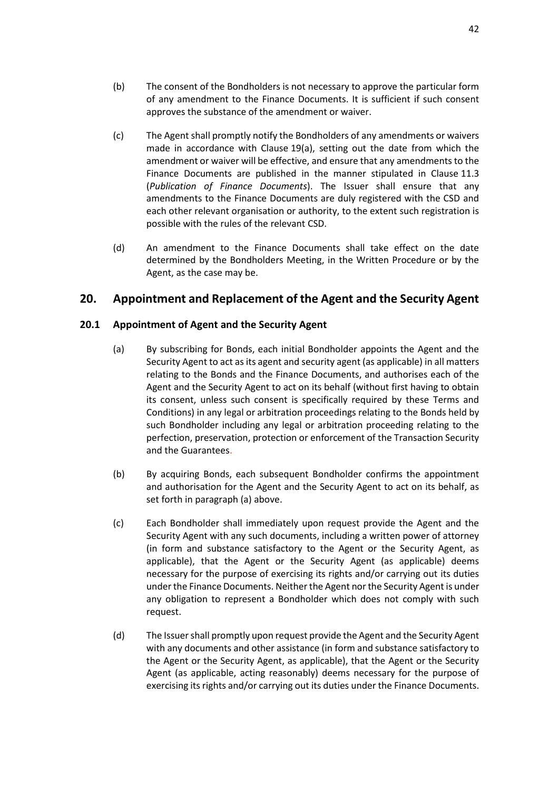- <span id="page-44-2"></span>(c) The Agent shall promptly notify the Bondholders of any amendments or waivers made in accordance with Clause [19\(a\),](#page-43-6) setting out the date from which the amendment or waiver will be effective, and ensure that any amendments to the Finance Documents are published in the manner stipulated in Clause [11.3](#page-29-3) (*[Publication of Finance Documents](#page-29-3)*). The Issuer shall ensure that any amendments to the Finance Documents are duly registered with the CSD and each other relevant organisation or authority, to the extent such registration is possible with the rules of the relevant CSD.
- (d) An amendment to the Finance Documents shall take effect on the date determined by the Bondholders Meeting, in the Written Procedure or by the Agent, as the case may be.

## <span id="page-44-0"></span>**20. Appointment and Replacement of the Agent and the Security Agent**

### **20.1 Appointment of Agent and the Security Agent**

- (a) By subscribing for Bonds, each initial Bondholder appoints the Agent and the Security Agent to act as its agent and security agent (as applicable) in all matters relating to the Bonds and the Finance Documents, and authorises each of the Agent and the Security Agent to act on its behalf (without first having to obtain its consent, unless such consent is specifically required by these Terms and Conditions) in any legal or arbitration proceedings relating to the Bonds held by such Bondholder including any legal or arbitration proceeding relating to the perfection, preservation, protection or enforcement of the Transaction Security and the Guarantees.
- (b) By acquiring Bonds, each subsequent Bondholder confirms the appointment and authorisation for the Agent and the Security Agent to act on its behalf, as set forth in paragraph (a) above.
- <span id="page-44-1"></span>(c) Each Bondholder shall immediately upon request provide the Agent and the Security Agent with any such documents, including a written power of attorney (in form and substance satisfactory to the Agent or the Security Agent, as applicable), that the Agent or the Security Agent (as applicable) deems necessary for the purpose of exercising its rights and/or carrying out its duties under the Finance Documents. Neither the Agent nor the Security Agent is under any obligation to represent a Bondholder which does not comply with such request.
- (d) The Issuer shall promptly upon request provide the Agent and the Security Agent with any documents and other assistance (in form and substance satisfactory to the Agent or the Security Agent, as applicable), that the Agent or the Security Agent (as applicable, acting reasonably) deems necessary for the purpose of exercising its rights and/or carrying out its duties under the Finance Documents.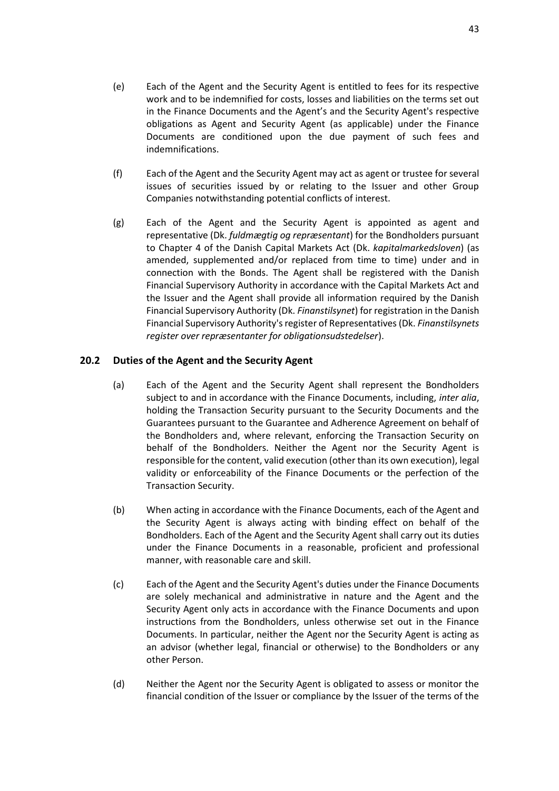- (e) Each of the Agent and the Security Agent is entitled to fees for its respective work and to be indemnified for costs, losses and liabilities on the terms set out in the Finance Documents and the Agent's and the Security Agent's respective obligations as Agent and Security Agent (as applicable) under the Finance Documents are conditioned upon the due payment of such fees and indemnifications.
- (f) Each of the Agent and the Security Agent may act as agent or trustee for several issues of securities issued by or relating to the Issuer and other Group Companies notwithstanding potential conflicts of interest.
- (g) Each of the Agent and the Security Agent is appointed as agent and representative (Dk. *fuldmægtig og repræsentant*) for the Bondholders pursuant to Chapter 4 of the Danish Capital Markets Act (Dk. *kapitalmarkedsloven*) (as amended, supplemented and/or replaced from time to time) under and in connection with the Bonds. The Agent shall be registered with the Danish Financial Supervisory Authority in accordance with the Capital Markets Act and the Issuer and the Agent shall provide all information required by the Danish Financial Supervisory Authority (Dk. *Finanstilsynet*) for registration in the Danish Financial Supervisory Authority's register of Representatives (Dk. *Finanstilsynets register over repræsentanter for obligationsudstedelser*).

### **20.2 Duties of the Agent and the Security Agent**

- (a) Each of the Agent and the Security Agent shall represent the Bondholders subject to and in accordance with the Finance Documents, including, *inter alia*, holding the Transaction Security pursuant to the Security Documents and the Guarantees pursuant to the Guarantee and Adherence Agreement on behalf of the Bondholders and, where relevant, enforcing the Transaction Security on behalf of the Bondholders. Neither the Agent nor the Security Agent is responsible for the content, valid execution (other than its own execution), legal validity or enforceability of the Finance Documents or the perfection of the Transaction Security.
- (b) When acting in accordance with the Finance Documents, each of the Agent and the Security Agent is always acting with binding effect on behalf of the Bondholders. Each of the Agent and the Security Agent shall carry out its duties under the Finance Documents in a reasonable, proficient and professional manner, with reasonable care and skill.
- (c) Each of the Agent and the Security Agent's duties under the Finance Documents are solely mechanical and administrative in nature and the Agent and the Security Agent only acts in accordance with the Finance Documents and upon instructions from the Bondholders, unless otherwise set out in the Finance Documents. In particular, neither the Agent nor the Security Agent is acting as an advisor (whether legal, financial or otherwise) to the Bondholders or any other Person.
- (d) Neither the Agent nor the Security Agent is obligated to assess or monitor the financial condition of the Issuer or compliance by the Issuer of the terms of the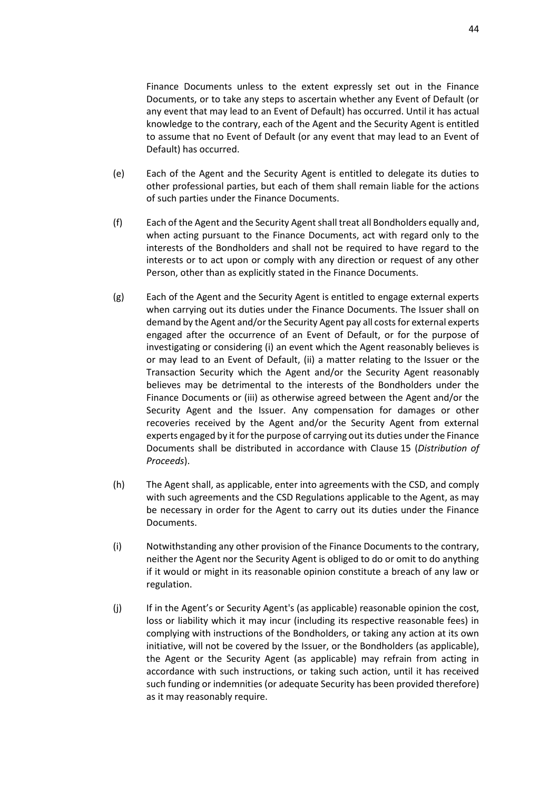Finance Documents unless to the extent expressly set out in the Finance Documents, or to take any steps to ascertain whether any Event of Default (or any event that may lead to an Event of Default) has occurred. Until it has actual knowledge to the contrary, each of the Agent and the Security Agent is entitled to assume that no Event of Default (or any event that may lead to an Event of Default) has occurred.

- (e) Each of the Agent and the Security Agent is entitled to delegate its duties to other professional parties, but each of them shall remain liable for the actions of such parties under the Finance Documents.
- (f) Each of the Agent and the Security Agent shall treat all Bondholders equally and, when acting pursuant to the Finance Documents, act with regard only to the interests of the Bondholders and shall not be required to have regard to the interests or to act upon or comply with any direction or request of any other Person, other than as explicitly stated in the Finance Documents.
- <span id="page-46-0"></span>(g) Each of the Agent and the Security Agent is entitled to engage external experts when carrying out its duties under the Finance Documents. The Issuer shall on demand by the Agent and/or the Security Agent pay all costs for external experts engaged after the occurrence of an Event of Default, or for the purpose of investigating or considering (i) an event which the Agent reasonably believes is or may lead to an Event of Default, (ii) a matter relating to the Issuer or the Transaction Security which the Agent and/or the Security Agent reasonably believes may be detrimental to the interests of the Bondholders under the Finance Documents or (iii) as otherwise agreed between the Agent and/or the Security Agent and the Issuer. Any compensation for damages or other recoveries received by the Agent and/or the Security Agent from external experts engaged by it for the purpose of carrying out its duties under the Finance Documents shall be distributed in accordance with Clause [15](#page-38-0) (*[Distribution of](#page-38-0)  [Proceeds](#page-38-0)*).
- (h) The Agent shall, as applicable, enter into agreements with the CSD, and comply with such agreements and the CSD Regulations applicable to the Agent, as may be necessary in order for the Agent to carry out its duties under the Finance Documents.
- (i) Notwithstanding any other provision of the Finance Documents to the contrary, neither the Agent nor the Security Agent is obliged to do or omit to do anything if it would or might in its reasonable opinion constitute a breach of any law or regulation.
- <span id="page-46-1"></span>(j) If in the Agent's or Security Agent's (as applicable) reasonable opinion the cost, loss or liability which it may incur (including its respective reasonable fees) in complying with instructions of the Bondholders, or taking any action at its own initiative, will not be covered by the Issuer, or the Bondholders (as applicable), the Agent or the Security Agent (as applicable) may refrain from acting in accordance with such instructions, or taking such action, until it has received such funding or indemnities (or adequate Security has been provided therefore) as it may reasonably require.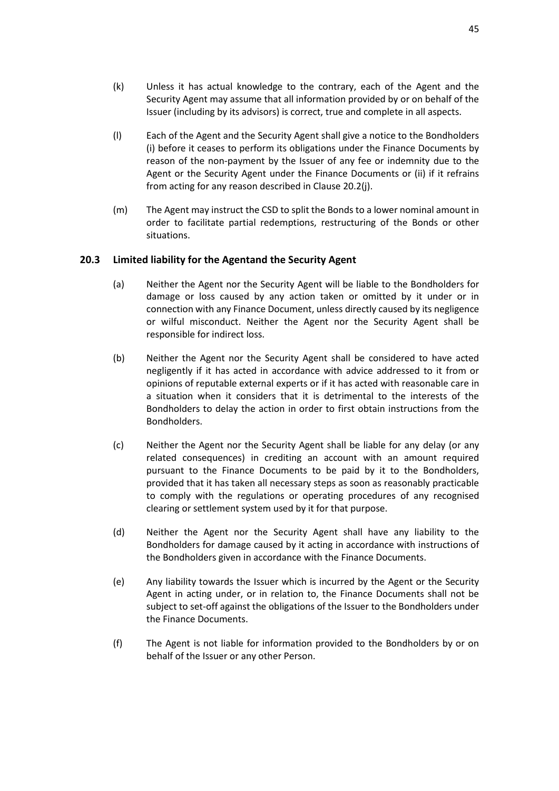- <span id="page-47-0"></span>(l) Each of the Agent and the Security Agent shall give a notice to the Bondholders (i) before it ceases to perform its obligations under the Finance Documents by reason of the non-payment by the Issuer of any fee or indemnity due to the Agent or the Security Agent under the Finance Documents or (ii) if it refrains from acting for any reason described in Clause [20.2\(j\).](#page-46-1)
- (m) The Agent may instruct the CSD to split the Bonds to a lower nominal amount in order to facilitate partial redemptions, restructuring of the Bonds or other situations.

## **20.3 Limited liability for the Agentand the Security Agent**

- (a) Neither the Agent nor the Security Agent will be liable to the Bondholders for damage or loss caused by any action taken or omitted by it under or in connection with any Finance Document, unless directly caused by its negligence or wilful misconduct. Neither the Agent nor the Security Agent shall be responsible for indirect loss.
- (b) Neither the Agent nor the Security Agent shall be considered to have acted negligently if it has acted in accordance with advice addressed to it from or opinions of reputable external experts or if it has acted with reasonable care in a situation when it considers that it is detrimental to the interests of the Bondholders to delay the action in order to first obtain instructions from the Bondholders.
- (c) Neither the Agent nor the Security Agent shall be liable for any delay (or any related consequences) in crediting an account with an amount required pursuant to the Finance Documents to be paid by it to the Bondholders, provided that it has taken all necessary steps as soon as reasonably practicable to comply with the regulations or operating procedures of any recognised clearing or settlement system used by it for that purpose.
- (d) Neither the Agent nor the Security Agent shall have any liability to the Bondholders for damage caused by it acting in accordance with instructions of the Bondholders given in accordance with the Finance Documents.
- (e) Any liability towards the Issuer which is incurred by the Agent or the Security Agent in acting under, or in relation to, the Finance Documents shall not be subject to set-off against the obligations of the Issuer to the Bondholders under the Finance Documents.
- (f) The Agent is not liable for information provided to the Bondholders by or on behalf of the Issuer or any other Person.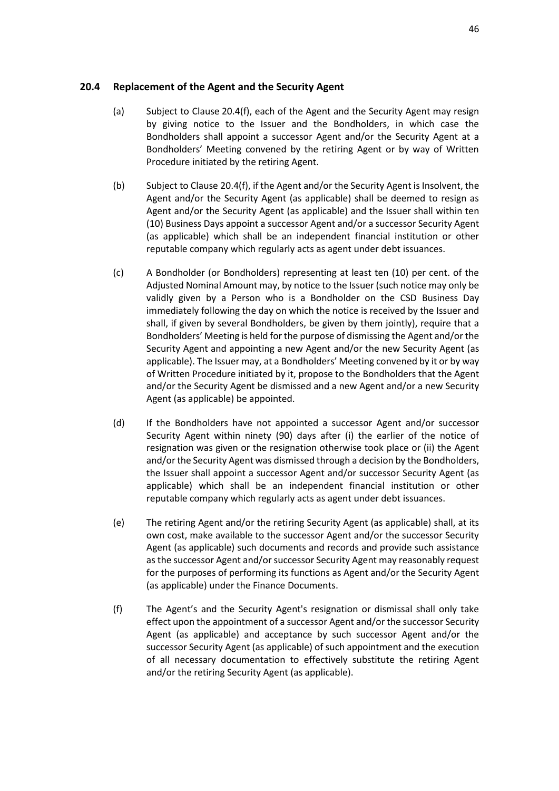#### <span id="page-48-2"></span>**20.4 Replacement of the Agent and the Security Agent**

- (a) Subject to Clause [20.4\(f\),](#page-48-1) each of the Agent and the Security Agent may resign by giving notice to the Issuer and the Bondholders, in which case the Bondholders shall appoint a successor Agent and/or the Security Agent at a Bondholders' Meeting convened by the retiring Agent or by way of Written Procedure initiated by the retiring Agent.
- (b) Subject to Clause [20.4\(f\),](#page-48-1) if the Agent and/or the Security Agent is Insolvent, the Agent and/or the Security Agent (as applicable) shall be deemed to resign as Agent and/or the Security Agent (as applicable) and the Issuer shall within ten (10) Business Days appoint a successor Agent and/or a successor Security Agent (as applicable) which shall be an independent financial institution or other reputable company which regularly acts as agent under debt issuances.
- <span id="page-48-0"></span>(c) A Bondholder (or Bondholders) representing at least ten (10) per cent. of the Adjusted Nominal Amount may, by notice to the Issuer (such notice may only be validly given by a Person who is a Bondholder on the CSD Business Day immediately following the day on which the notice is received by the Issuer and shall, if given by several Bondholders, be given by them jointly), require that a Bondholders' Meeting is held for the purpose of dismissing the Agent and/or the Security Agent and appointing a new Agent and/or the new Security Agent (as applicable). The Issuer may, at a Bondholders' Meeting convened by it or by way of Written Procedure initiated by it, propose to the Bondholders that the Agent and/or the Security Agent be dismissed and a new Agent and/or a new Security Agent (as applicable) be appointed.
- (d) If the Bondholders have not appointed a successor Agent and/or successor Security Agent within ninety (90) days after (i) the earlier of the notice of resignation was given or the resignation otherwise took place or (ii) the Agent and/or the Security Agent was dismissed through a decision by the Bondholders, the Issuer shall appoint a successor Agent and/or successor Security Agent (as applicable) which shall be an independent financial institution or other reputable company which regularly acts as agent under debt issuances.
- (e) The retiring Agent and/or the retiring Security Agent (as applicable) shall, at its own cost, make available to the successor Agent and/or the successor Security Agent (as applicable) such documents and records and provide such assistance as the successor Agent and/or successor Security Agent may reasonably request for the purposes of performing its functions as Agent and/or the Security Agent (as applicable) under the Finance Documents.
- <span id="page-48-1"></span>(f) The Agent's and the Security Agent's resignation or dismissal shall only take effect upon the appointment of a successor Agent and/or the successor Security Agent (as applicable) and acceptance by such successor Agent and/or the successor Security Agent (as applicable) of such appointment and the execution of all necessary documentation to effectively substitute the retiring Agent and/or the retiring Security Agent (as applicable).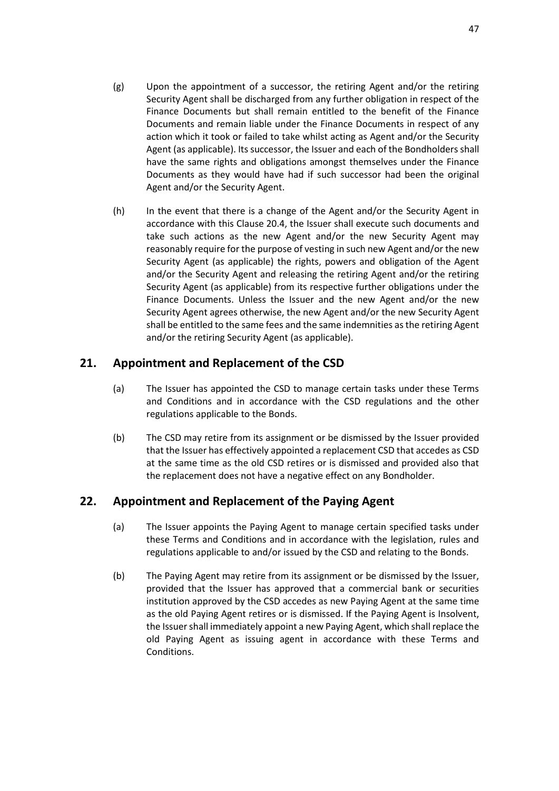- (g) Upon the appointment of a successor, the retiring Agent and/or the retiring Security Agent shall be discharged from any further obligation in respect of the Finance Documents but shall remain entitled to the benefit of the Finance Documents and remain liable under the Finance Documents in respect of any action which it took or failed to take whilst acting as Agent and/or the Security Agent (as applicable). Its successor, the Issuer and each of the Bondholders shall have the same rights and obligations amongst themselves under the Finance Documents as they would have had if such successor had been the original Agent and/or the Security Agent.
- (h) In the event that there is a change of the Agent and/or the Security Agent in accordance with this Clause [20.4,](#page-48-2) the Issuer shall execute such documents and take such actions as the new Agent and/or the new Security Agent may reasonably require for the purpose of vesting in such new Agent and/or the new Security Agent (as applicable) the rights, powers and obligation of the Agent and/or the Security Agent and releasing the retiring Agent and/or the retiring Security Agent (as applicable) from its respective further obligations under the Finance Documents. Unless the Issuer and the new Agent and/or the new Security Agent agrees otherwise, the new Agent and/or the new Security Agent shall be entitled to the same fees and the same indemnities as the retiring Agent and/or the retiring Security Agent (as applicable).

## <span id="page-49-0"></span>**21. Appointment and Replacement of the CSD**

- (a) The Issuer has appointed the CSD to manage certain tasks under these Terms and Conditions and in accordance with the CSD regulations and the other regulations applicable to the Bonds.
- (b) The CSD may retire from its assignment or be dismissed by the Issuer provided that the Issuer has effectively appointed a replacement CSD that accedes as CSD at the same time as the old CSD retires or is dismissed and provided also that the replacement does not have a negative effect on any Bondholder.

## <span id="page-49-1"></span>**22. Appointment and Replacement of the Paying Agent**

- (a) The Issuer appoints the Paying Agent to manage certain specified tasks under these Terms and Conditions and in accordance with the legislation, rules and regulations applicable to and/or issued by the CSD and relating to the Bonds.
- (b) The Paying Agent may retire from its assignment or be dismissed by the Issuer, provided that the Issuer has approved that a commercial bank or securities institution approved by the CSD accedes as new Paying Agent at the same time as the old Paying Agent retires or is dismissed. If the Paying Agent is Insolvent, the Issuer shall immediately appoint a new Paying Agent, which shall replace the old Paying Agent as issuing agent in accordance with these Terms and Conditions.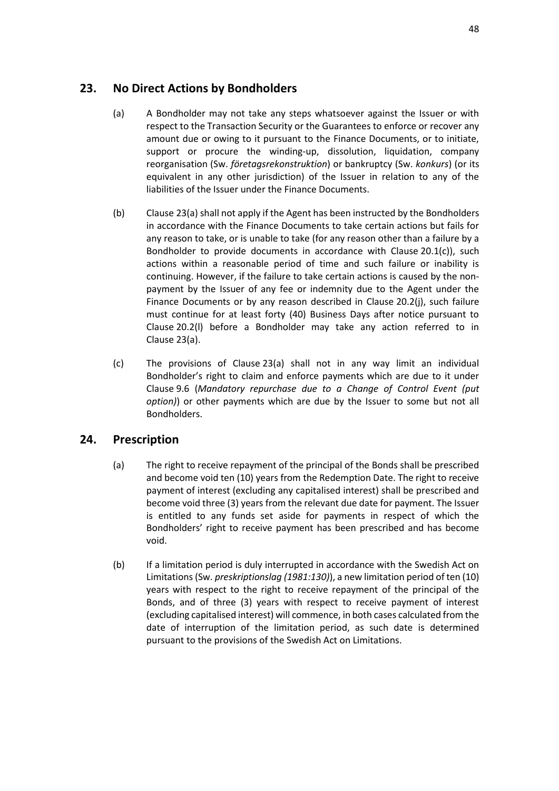## <span id="page-50-2"></span><span id="page-50-0"></span>**23. No Direct Actions by Bondholders**

- (a) A Bondholder may not take any steps whatsoever against the Issuer or with respect to the Transaction Security or the Guarantees to enforce or recover any amount due or owing to it pursuant to the Finance Documents, or to initiate, support or procure the winding-up, dissolution, liquidation, company reorganisation (Sw. *företagsrekonstruktion*) or bankruptcy (Sw. *konkurs*) (or its equivalent in any other jurisdiction) of the Issuer in relation to any of the liabilities of the Issuer under the Finance Documents.
- (b) Clause [23\(a\)](#page-50-2) shall not apply if the Agent has been instructed by the Bondholders in accordance with the Finance Documents to take certain actions but fails for any reason to take, or is unable to take (for any reason other than a failure by a Bondholder to provide documents in accordance with Clause [20.1\(c\)\)](#page-44-1), such actions within a reasonable period of time and such failure or inability is continuing. However, if the failure to take certain actions is caused by the nonpayment by the Issuer of any fee or indemnity due to the Agent under the Finance Documents or by any reason described in Clause [20.2\(j\),](#page-46-1) such failure must continue for at least forty (40) Business Days after notice pursuant to Clause [20.2\(l\)](#page-47-0) before a Bondholder may take any action referred to in Clause [23\(a\).](#page-50-2)
- (c) The provisions of Clause [23\(a\)](#page-50-2) shall not in any way limit an individual Bondholder's right to claim and enforce payments which are due to it under Clause [9.6](#page-26-2) (*[Mandatory repurchase due to a Change of Control Event](#page-26-2) (put [option\)](#page-26-2)*) or other payments which are due by the Issuer to some but not all Bondholders.

## <span id="page-50-1"></span>**24. Prescription**

- (a) The right to receive repayment of the principal of the Bonds shall be prescribed and become void ten (10) years from the Redemption Date. The right to receive payment of interest (excluding any capitalised interest) shall be prescribed and become void three (3) years from the relevant due date for payment. The Issuer is entitled to any funds set aside for payments in respect of which the Bondholders' right to receive payment has been prescribed and has become void.
- (b) If a limitation period is duly interrupted in accordance with the Swedish Act on Limitations (Sw. *preskriptionslag (1981:130)*), a new limitation period of ten (10) years with respect to the right to receive repayment of the principal of the Bonds, and of three (3) years with respect to receive payment of interest (excluding capitalised interest) will commence, in both cases calculated from the date of interruption of the limitation period, as such date is determined pursuant to the provisions of the Swedish Act on Limitations.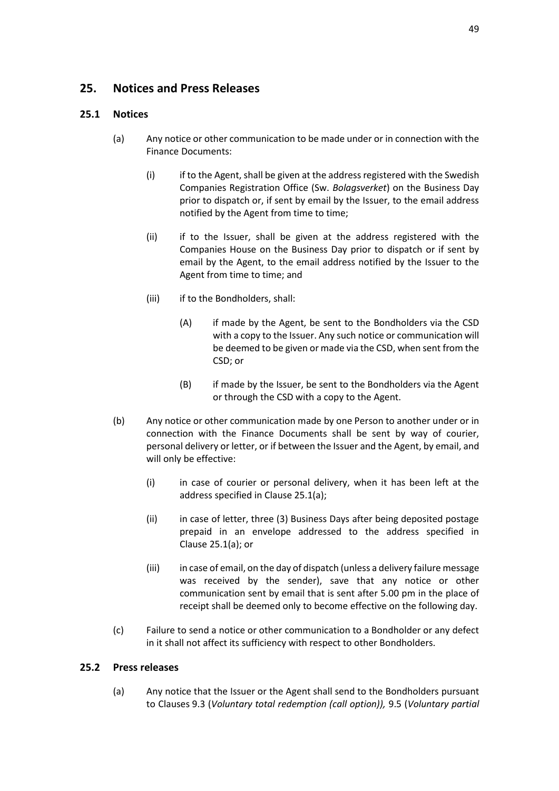## <span id="page-51-0"></span>**25. Notices and Press Releases**

### <span id="page-51-1"></span>**25.1 Notices**

- (a) Any notice or other communication to be made under or in connection with the Finance Documents:
	- (i) if to the Agent, shall be given at the address registered with the Swedish Companies Registration Office (Sw. *Bolagsverket*) on the Business Day prior to dispatch or, if sent by email by the Issuer, to the email address notified by the Agent from time to time;
	- (ii) if to the Issuer, shall be given at the address registered with the Companies House on the Business Day prior to dispatch or if sent by email by the Agent, to the email address notified by the Issuer to the Agent from time to time; and
	- (iii) if to the Bondholders, shall:
		- (A) if made by the Agent, be sent to the Bondholders via the CSD with a copy to the Issuer. Any such notice or communication will be deemed to be given or made via the CSD, when sent from the CSD; or
		- (B) if made by the Issuer, be sent to the Bondholders via the Agent or through the CSD with a copy to the Agent.
- (b) Any notice or other communication made by one Person to another under or in connection with the Finance Documents shall be sent by way of courier, personal delivery or letter, or if between the Issuer and the Agent, by email, and will only be effective:
	- (i) in case of courier or personal delivery, when it has been left at the address specified in Clause [25.1\(a\);](#page-51-1)
	- (ii) in case of letter, three (3) Business Days after being deposited postage prepaid in an envelope addressed to the address specified in Clause [25.1\(a\);](#page-51-1) or
	- (iii) in case of email, on the day of dispatch (unless a delivery failure message was received by the sender), save that any notice or other communication sent by email that is sent after 5.00 pm in the place of receipt shall be deemed only to become effective on the following day.
- (c) Failure to send a notice or other communication to a Bondholder or any defect in it shall not affect its sufficiency with respect to other Bondholders.

### <span id="page-51-2"></span>**25.2 Press releases**

(a) Any notice that the Issuer or the Agent shall send to the Bondholders pursuant to Clauses [9.3](#page-24-0) (*[Voluntary total redemption \(call option\)\)](#page-24-0),* [9.5](#page-25-1) (*[Voluntary partial](#page-25-1)*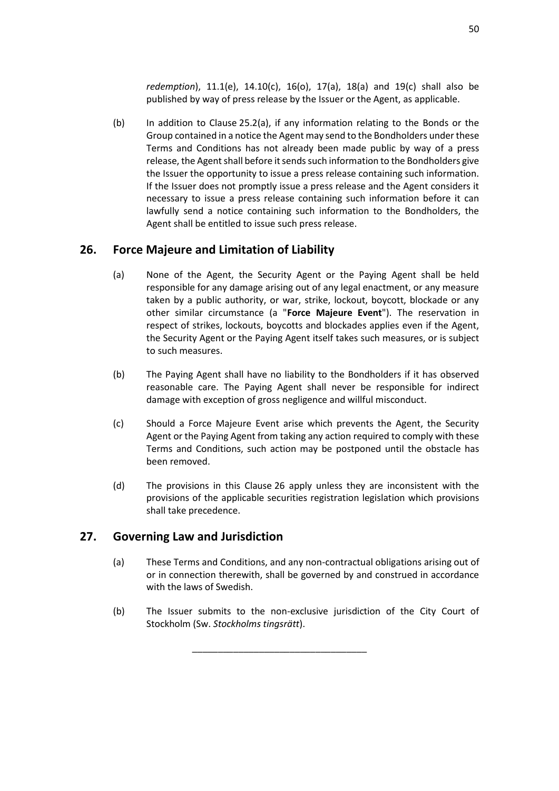*[redemption](#page-25-1)*), [11.1\(e\),](#page-28-0) [14.10\(c\),](#page-37-4) [16\(o\),](#page-42-3) [17\(a\),](#page-42-2) [18\(a\)](#page-43-5) and [19\(c\)](#page-44-2) shall also be published by way of press release by the Issuer or the Agent, as applicable.

(b) In addition to Clause [25.2\(a\),](#page-51-2) if any information relating to the Bonds or the Group contained in a notice the Agent may send to the Bondholders under these Terms and Conditions has not already been made public by way of a press release, the Agent shall before it sends such information to the Bondholders give the Issuer the opportunity to issue a press release containing such information. If the Issuer does not promptly issue a press release and the Agent considers it necessary to issue a press release containing such information before it can lawfully send a notice containing such information to the Bondholders, the Agent shall be entitled to issue such press release.

## <span id="page-52-2"></span><span id="page-52-0"></span>**26. Force Majeure and Limitation of Liability**

- (a) None of the Agent, the Security Agent or the Paying Agent shall be held responsible for any damage arising out of any legal enactment, or any measure taken by a public authority, or war, strike, lockout, boycott, blockade or any other similar circumstance (a "**Force Majeure Event**"). The reservation in respect of strikes, lockouts, boycotts and blockades applies even if the Agent, the Security Agent or the Paying Agent itself takes such measures, or is subject to such measures.
- (b) The Paying Agent shall have no liability to the Bondholders if it has observed reasonable care. The Paying Agent shall never be responsible for indirect damage with exception of gross negligence and willful misconduct.
- (c) Should a Force Majeure Event arise which prevents the Agent, the Security Agent or the Paying Agent from taking any action required to comply with these Terms and Conditions, such action may be postponed until the obstacle has been removed.
- (d) The provisions in this Clause [26](#page-52-0) apply unless they are inconsistent with the provisions of the applicable securities registration legislation which provisions shall take precedence.

## <span id="page-52-1"></span>**27. Governing Law and Jurisdiction**

- (a) These Terms and Conditions, and any non-contractual obligations arising out of or in connection therewith, shall be governed by and construed in accordance with the laws of Swedish.
- (b) The Issuer submits to the non-exclusive jurisdiction of the City Court of Stockholm (Sw. *Stockholms tingsrätt*).

\_\_\_\_\_\_\_\_\_\_\_\_\_\_\_\_\_\_\_\_\_\_\_\_\_\_\_\_\_\_\_\_\_\_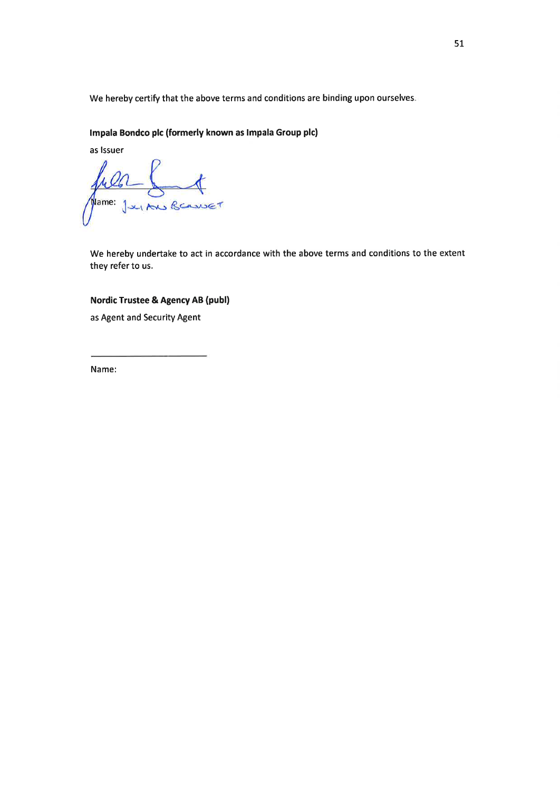We hereby certify that the above terms and conditions are binding upon ourselves.

#### Impala Bondco plc (formerly known as Impala Group plc)

as Issuer fulle South

We hereby undertake to act in accordance with the above terms and conditions to the extent they refer to us.

### **Nordic Trustee & Agency AB (publ)**

as Agent and Security Agent

Name: